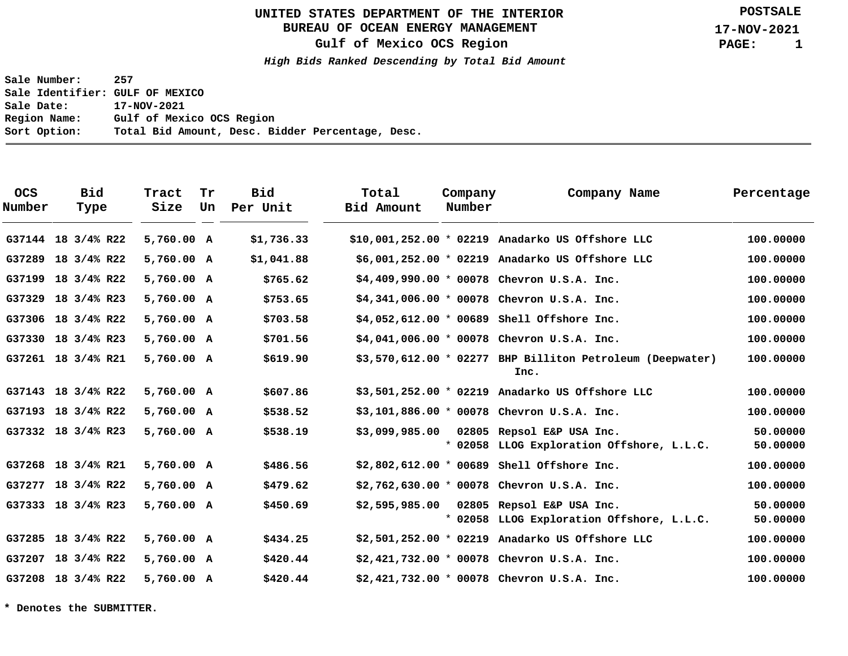# **BUREAU OF OCEAN ENERGY MANAGEMENT**

**Gulf of Mexico OCS Region**

**High Bids Ranked Descending by Total Bid Amount**

**Sale Number: 257 Sale Identifier: GULF OF MEXICO Sale Date: 17-NOV-2021 Region Name: Gulf of Mexico OCS Region Sort Option: Total Bid Amount, Desc. Bidder Percentage, Desc.**

| <b>OCS</b><br>Number | <b>Bid</b><br>Type | Tract<br>Size | Tr<br>Un | <b>Bid</b><br>Per Unit | Total<br>Bid Amount | Company<br>Number | Company Name                                                           | Percentage           |
|----------------------|--------------------|---------------|----------|------------------------|---------------------|-------------------|------------------------------------------------------------------------|----------------------|
|                      | G37144 18 3/4% R22 | 5,760.00 A    |          | \$1,736.33             |                     |                   | \$10,001,252.00 * 02219 Anadarko US Offshore LLC                       | 100,00000            |
|                      | G37289 18 3/4% R22 | 5,760.00 A    |          | \$1,041.88             |                     |                   | \$6,001,252.00 * 02219 Anadarko US Offshore LLC                        | 100.00000            |
|                      | G37199 18 3/4% R22 | 5,760.00 A    |          | \$765.62               |                     |                   | $$4,409,990.00 * 00078$ Chevron U.S.A. Inc.                            | 100,00000            |
|                      | G37329 18 3/4% R23 | 5,760.00 A    |          | \$753.65               |                     |                   | $$4,341,006.00 * 00078$ Chevron U.S.A. Inc.                            | 100.00000            |
|                      | G37306 18 3/4% R22 | 5,760.00 A    |          | \$703.58               |                     |                   | $$4,052,612.00 * 00689$ Shell Offshore Inc.                            | 100,00000            |
| G37330               | 18 3/4% R23        | 5,760.00 A    |          | \$701.56               |                     |                   | $$4,041,006.00 * 00078$ Chevron U.S.A. Inc.                            | 100.00000            |
|                      | G37261 18 3/4% R21 | 5,760.00 A    |          | \$619.90               |                     |                   | $$3,570,612.00 * 02277$ BHP Billiton Petroleum (Deepwater)<br>Inc.     | 100,00000            |
|                      | G37143 18 3/4% R22 | 5,760.00 A    |          | \$607.86               |                     |                   | $$3,501,252.00 * 02219$ Anadarko US Offshore LLC                       | 100,00000            |
|                      | G37193 18 3/4% R22 | 5,760.00 A    |          | \$538.52               |                     |                   | $$3,101,886.00 * 00078$ Chevron U.S.A. Inc.                            | 100,00000            |
|                      | G37332 18 3/4% R23 | 5,760.00 A    |          | \$538.19               | \$3,099,985.00      |                   | 02805 Repsol E&P USA Inc.<br>* 02058 LLOG Exploration Offshore, L.L.C. | 50.00000<br>50.00000 |
|                      | G37268 18 3/4% R21 | 5,760.00 A    |          | \$486.56               |                     |                   | $$2,802,612.00 * 00689$ Shell Offshore Inc.                            | 100.00000            |
|                      | G37277 18 3/4% R22 | 5,760.00 A    |          | \$479.62               |                     |                   | $$2,762,630.00 * 00078$ Chevron U.S.A. Inc.                            | 100.00000            |
|                      | G37333 18 3/4% R23 | 5,760.00 A    |          | \$450.69               | \$2,595,985.00      |                   | 02805 Repsol E&P USA Inc.<br>* 02058 LLOG Exploration Offshore, L.L.C. | 50.00000<br>50.00000 |
|                      | G37285 18 3/4% R22 | 5,760.00 A    |          | \$434.25               |                     |                   | $$2,501,252.00$ * 02219 Anadarko US Offshore LLC                       | 100.00000            |
| G37207               | 18 3/4% R22        | 5,760.00 A    |          | \$420.44               |                     |                   | $$2,421,732.00 * 00078$ Chevron U.S.A. Inc.                            | 100.00000            |
|                      | G37208 18 3/4% R22 | 5,760.00 A    |          | \$420.44               |                     |                   | $$2,421,732.00 * 00078$ Chevron U.S.A. Inc.                            | 100,00000            |

**\* Denotes the SUBMITTER.**

**POSTSALE**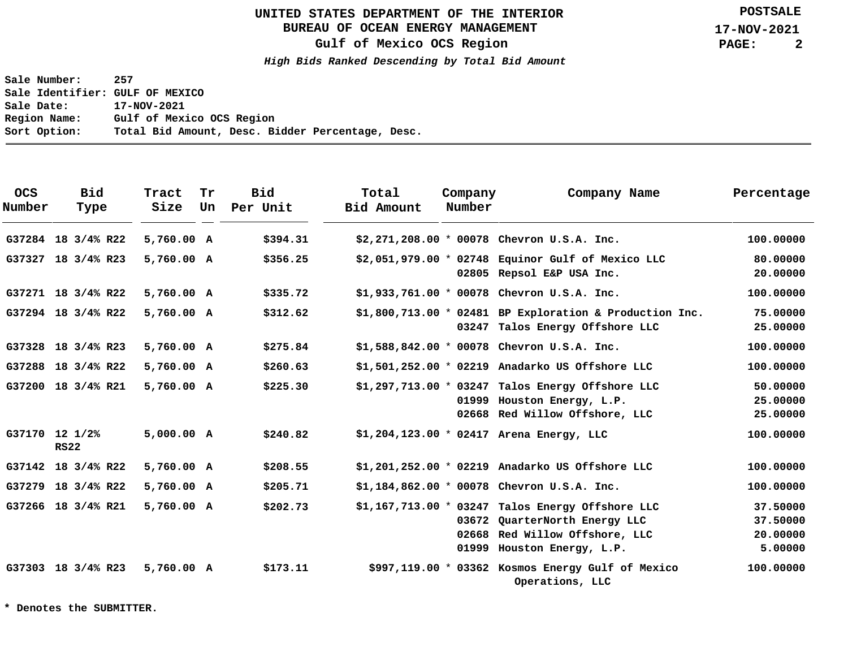# **BUREAU OF OCEAN ENERGY MANAGEMENT**

**Gulf of Mexico OCS Region**

**High Bids Ranked Descending by Total Bid Amount**

**Sale Number: 257 Sale Identifier: GULF OF MEXICO Sale Date: 17-NOV-2021 Region Name: Gulf of Mexico OCS Region Sort Option: Total Bid Amount, Desc. Bidder Percentage, Desc.**

| <b>OCS</b><br>Number | <b>Bid</b><br>Type            | Tract<br>Size | Tr<br>Un | Bid<br>Per Unit | Total<br>Bid Amount | Company<br>Number | Company Name                                                                                                                                       | Percentage                                  |
|----------------------|-------------------------------|---------------|----------|-----------------|---------------------|-------------------|----------------------------------------------------------------------------------------------------------------------------------------------------|---------------------------------------------|
|                      | G37284 18 3/4% R22            | 5,760.00 A    |          | \$394.31        |                     |                   | $$2,271,208.00 * 00078$ Chevron U.S.A. Inc.                                                                                                        | 100.00000                                   |
|                      | G37327 18 3/4% R23            | 5,760.00 A    |          | \$356.25        |                     |                   | \$2,051,979.00 * 02748 Equinor Gulf of Mexico LLC<br>02805 Repsol E&P USA Inc.                                                                     | 80,00000<br>20,00000                        |
|                      | G37271 18 3/4% R22            | 5,760.00 A    |          | \$335.72        |                     |                   | $$1,933,761.00 * 00078$ Chevron U.S.A. Inc.                                                                                                        | 100.00000                                   |
|                      | G37294 18 3/4% R22            | 5,760.00 A    |          | \$312.62        |                     |                   | $$1,800,713.00 * 02481$ BP Exploration & Production Inc.<br>03247 Talos Energy Offshore LLC                                                        | 75,00000<br>25.00000                        |
| G37328               | 18 3/4% R23                   | 5,760.00 A    |          | \$275.84        |                     |                   | $$1,588,842.00 * 00078$ Chevron U.S.A. Inc.                                                                                                        | 100.00000                                   |
|                      | G37288 18 3/4% R22            | 5,760.00 A    |          | \$260.63        |                     |                   | $$1,501,252.00$ * 02219 Anadarko US Offshore LLC                                                                                                   | 100.00000                                   |
|                      | G37200 18 3/4% R21            | 5,760.00 A    |          | \$225.30        |                     |                   | $$1,297,713.00 * 03247$ Talos Energy Offshore LLC<br>01999 Houston Energy, L.P.<br>02668 Red Willow Offshore, LLC                                  | 50.00000<br>25.00000<br>25.00000            |
|                      | G37170 12 1/2%<br><b>RS22</b> | 5,000.00 A    |          | \$240.82        |                     |                   | $$1,204,123.00 * 02417$ Arena Energy, LLC                                                                                                          | 100.00000                                   |
|                      | G37142 18 3/4% R22            | 5,760.00 A    |          | \$208.55        |                     |                   | $$1,201,252.00$ * 02219 Anadarko US Offshore LLC                                                                                                   | 100.00000                                   |
| G37279               | 18 3/4% R22                   | 5,760.00 A    |          | \$205.71        |                     |                   | $$1,184,862.00 * 00078$ Chevron U.S.A. Inc.                                                                                                        | 100.00000                                   |
|                      | G37266 18 3/4% R21            | 5,760.00 A    |          | \$202.73        |                     |                   | $$1,167,713.00 * 03247$ Talos Energy Offshore LLC<br>03672 QuarterNorth Energy LLC<br>02668 Red Willow Offshore, LLC<br>01999 Houston Energy, L.P. | 37.50000<br>37.50000<br>20.00000<br>5.00000 |
|                      | G37303 18 3/4% R23            | 5,760.00 A    |          | \$173.11        |                     |                   | $$997,119.00 * 03362$ Kosmos Energy Gulf of Mexico<br>Operations, LLC                                                                              | 100.00000                                   |

**\* Denotes the SUBMITTER.**

**POSTSALE**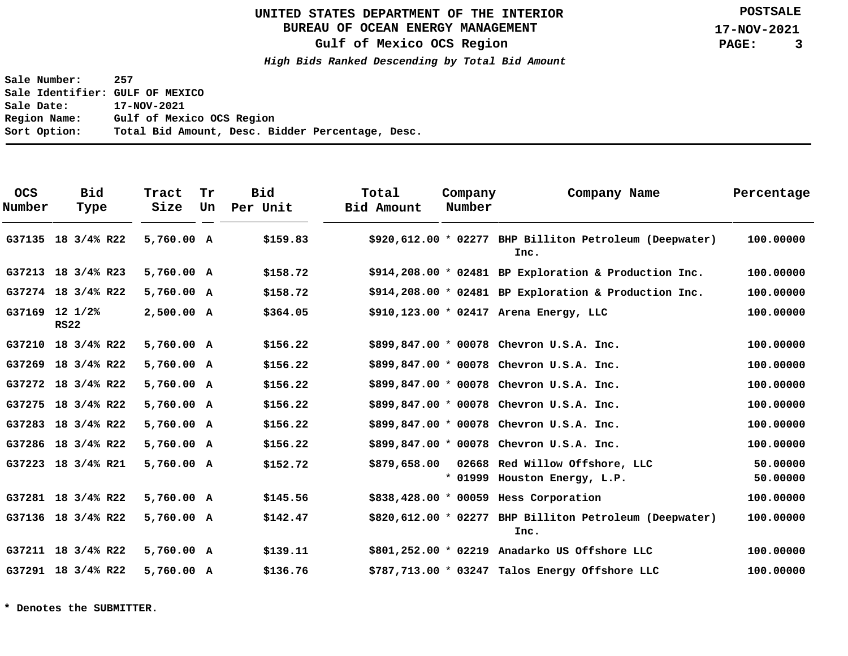# **BUREAU OF OCEAN ENERGY MANAGEMENT**

**Gulf of Mexico OCS Region**

**High Bids Ranked Descending by Total Bid Amount**

**Sale Number: 257 Sale Identifier: GULF OF MEXICO Sale Date: 17-NOV-2021 Region Name: Gulf of Mexico OCS Region Sort Option: Total Bid Amount, Desc. Bidder Percentage, Desc.**

| <b>OCS</b><br>Number | <b>Bid</b><br>Type            | Tract<br>Size | Tr<br>Un | <b>Bid</b><br>Per Unit | Total<br>Bid Amount | Company<br>Number | Company Name                                                    | Percentage           |
|----------------------|-------------------------------|---------------|----------|------------------------|---------------------|-------------------|-----------------------------------------------------------------|----------------------|
|                      | G37135 18 3/4% R22            | 5,760.00 A    |          | \$159.83               |                     |                   | \$920,612.00 * 02277 BHP Billiton Petroleum (Deepwater)<br>Inc. | 100,00000            |
|                      | G37213 18 3/4% R23            | 5,760.00 A    |          | \$158.72               |                     |                   | $$914, 208.00 * 02481$ BP Exploration & Production Inc.         | 100,00000            |
|                      | G37274 18 3/4% R22            | 5,760.00 A    |          | \$158.72               |                     |                   | $$914, 208.00 * 02481$ BP Exploration & Production Inc.         | 100,00000            |
|                      | G37169 12 1/2%<br><b>RS22</b> | 2,500.00 A    |          | \$364.05               |                     |                   | \$910,123.00 * 02417 Arena Energy, LLC                          | 100,00000            |
|                      | G37210 18 3/4% R22            | 5,760.00 A    |          | \$156.22               |                     |                   | \$899,847.00 * 00078 Chevron U.S.A. Inc.                        | 100.00000            |
|                      | G37269 18 3/4% R22            | 5,760.00 A    |          | \$156.22               |                     |                   | \$899,847.00 * 00078 Chevron U.S.A. Inc.                        | 100.00000            |
|                      | G37272 18 3/4% R22            | 5,760.00 A    |          | \$156.22               |                     |                   | \$899,847.00 * 00078 Chevron U.S.A. Inc.                        | 100.00000            |
|                      | G37275 18 3/4% R22            | 5,760.00 A    |          | \$156.22               |                     |                   | $$899,847.00 * 00078$ Chevron U.S.A. Inc.                       | 100.00000            |
|                      | G37283 18 3/4% R22            | 5,760.00 A    |          | \$156.22               |                     |                   | \$899,847.00 * 00078 Chevron U.S.A. Inc.                        | 100,00000            |
|                      | G37286 18 3/4% R22            | 5,760.00 A    |          | \$156.22               |                     |                   | \$899,847.00 * 00078 Chevron U.S.A. Inc.                        | 100,00000            |
|                      | G37223 18 3/4% R21            | 5,760.00 A    |          | \$152.72               | \$879,658.00        |                   | 02668 Red Willow Offshore, LLC<br>* 01999 Houston Energy, L.P.  | 50.00000<br>50.00000 |
|                      | G37281 18 3/4% R22            | 5,760.00 A    |          | \$145.56               |                     |                   | \$838,428.00 * 00059 Hess Corporation                           | 100.00000            |
|                      | G37136 18 3/4% R22            | 5,760.00 A    |          | \$142.47               |                     |                   | \$820,612.00 * 02277 BHP Billiton Petroleum (Deepwater)<br>Inc. | 100,00000            |
|                      | G37211 18 3/4% R22            | 5,760.00 A    |          | \$139.11               |                     |                   | \$801,252.00 * 02219 Anadarko US Offshore LLC                   | 100.00000            |
|                      | G37291 18 3/4% R22            | 5,760.00 A    |          | \$136.76               |                     |                   | \$787,713.00 * 03247 Talos Energy Offshore LLC                  | 100.00000            |

**\* Denotes the SUBMITTER.**

**POSTSALE**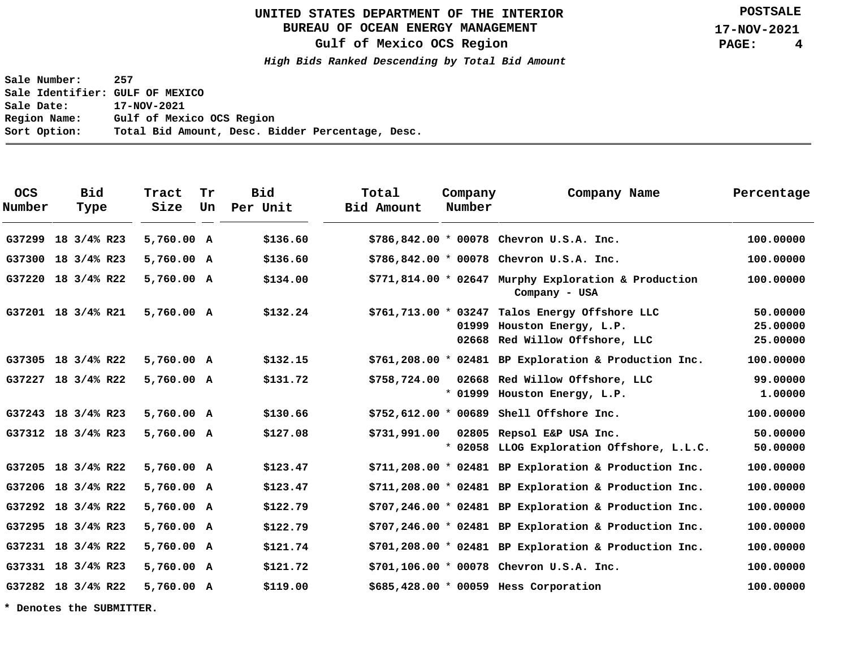# **BUREAU OF OCEAN ENERGY MANAGEMENT**

**Gulf of Mexico OCS Region**

**High Bids Ranked Descending by Total Bid Amount**

**Sale Number: 257 Sale Identifier: GULF OF MEXICO Sale Date: 17-NOV-2021 Region Name: Gulf of Mexico OCS Region Sort Option: Total Bid Amount, Desc. Bidder Percentage, Desc.**

| <b>OCS</b><br>Number | <b>Bid</b><br>Type     | Tract<br>Size | Tr<br>Un | <b>Bid</b><br>Per Unit | Total<br>Bid Amount | Company<br>Number | Company Name                                                                                                     | Percentage                       |
|----------------------|------------------------|---------------|----------|------------------------|---------------------|-------------------|------------------------------------------------------------------------------------------------------------------|----------------------------------|
| G37299               | $18 \frac{3}{4\%}$ R23 | 5,760.00 A    |          | \$136.60               |                     |                   | $$786,842.00 * 00078$ Chevron U.S.A. Inc.                                                                        | 100.00000                        |
|                      | G37300 18 3/4% R23     | 5,760.00 A    |          | \$136.60               |                     |                   | $$786,842.00 * 00078$ Chevron U.S.A. Inc.                                                                        | 100,00000                        |
|                      | G37220 18 3/4% R22     | 5,760.00 A    |          | \$134.00               |                     |                   | $$771,814.00 * 02647$ Murphy Exploration & Production<br>Company - USA                                           | 100.00000                        |
|                      | G37201 18 3/4% R21     | 5,760.00 A    |          | \$132.24               |                     |                   | $$761, 713.00 * 03247$ Talos Energy Offshore LLC<br>01999 Houston Energy, L.P.<br>02668 Red Willow Offshore, LLC | 50.00000<br>25,00000<br>25.00000 |
|                      | G37305 18 3/4% R22     | 5,760.00 A    |          | \$132.15               |                     |                   | $$761, 208.00 * 02481$ BP Exploration & Production Inc.                                                          | 100.00000                        |
|                      | G37227 18 3/4% R22     | 5,760.00 A    |          | \$131.72               | \$758,724.00        |                   | 02668 Red Willow Offshore, LLC<br>* 01999 Houston Energy, L.P.                                                   | 99,00000<br>1,00000              |
|                      | G37243 18 3/4% R23     | 5,760.00 A    |          | \$130.66               |                     |                   | $$752,612.00 * 00689$ Shell Offshore Inc.                                                                        | 100.00000                        |
|                      | G37312 18 3/4% R23     | 5,760.00 A    |          | \$127.08               | \$731,991.00        |                   | 02805 Repsol E&P USA Inc.<br>* 02058 LLOG Exploration Offshore, L.L.C.                                           | 50.00000<br>50.00000             |
|                      | G37205 18 3/4% R22     | 5,760.00 A    |          | \$123.47               |                     |                   | $$711, 208.00 * 02481$ BP Exploration & Production Inc.                                                          | 100.00000                        |
|                      | G37206 18 3/4% R22     | 5,760.00 A    |          | \$123.47               |                     |                   | $$711,208.00 * 02481$ BP Exploration & Production Inc.                                                           | 100.00000                        |
|                      | G37292 18 3/4% R22     | 5,760.00 A    |          | \$122.79               |                     |                   | $$707,246.00 * 02481$ BP Exploration & Production Inc.                                                           | 100.00000                        |
|                      | G37295 18 3/4% R23     | 5,760.00 A    |          | \$122.79               |                     |                   | \$707,246.00 * 02481 BP Exploration & Production Inc.                                                            | 100,00000                        |
|                      | G37231 18 3/4% R22     | 5,760.00 A    |          | \$121.74               |                     |                   | $$701, 208.00 * 02481$ BP Exploration & Production Inc.                                                          | 100.00000                        |
|                      | G37331 18 3/4% R23     | 5,760.00 A    |          | \$121.72               |                     |                   | $$701, 106.00 * 00078$ Chevron U.S.A. Inc.                                                                       | 100.00000                        |
|                      | G37282 18 3/4% R22     | 5,760.00 A    |          | \$119.00               |                     |                   | \$685,428.00 * 00059 Hess Corporation                                                                            | 100,00000                        |

**\* Denotes the SUBMITTER.**

**POSTSALE**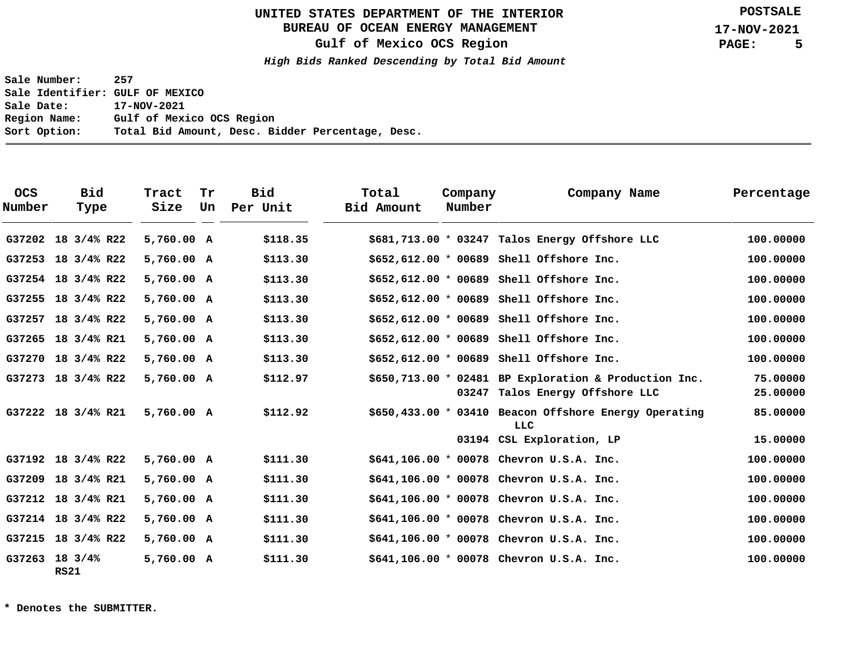# **BUREAU OF OCEAN ENERGY MANAGEMENT**

**Gulf of Mexico OCS Region**

**High Bids Ranked Descending by Total Bid Amount**

**Sale Number: 257 Sale Identifier: GULF OF MEXICO Sale Date: 17-NOV-2021 Region Name: Gulf of Mexico OCS Region Sort Option: Total Bid Amount, Desc. Bidder Percentage, Desc.**

| <b>OCS</b><br>Number | <b>Bid</b><br>Type      | Tract<br>Size | Tr<br>Un | <b>Bid</b><br>Per Unit | Total<br>Bid Amount | Company<br>Number | Company Name                                                                             | Percentage           |
|----------------------|-------------------------|---------------|----------|------------------------|---------------------|-------------------|------------------------------------------------------------------------------------------|----------------------|
| G37202               | 18 3/4% R22             | 5,760.00 A    |          | \$118.35               |                     |                   | $$681,713.00 * 03247$ Talos Energy Offshore LLC                                          | 100,00000            |
| G37253               | 18 3/4% R22             | 5,760.00 A    |          | \$113.30               |                     |                   | $$652,612.00 * 00689$ Shell Offshore Inc.                                                | 100,00000            |
|                      | G37254 18 3/4% R22      | 5,760.00 A    |          | \$113.30               |                     |                   | $$652,612.00 * 00689$ Shell Offshore Inc.                                                | 100.00000            |
|                      | G37255 18 3/4% R22      | 5,760.00 A    |          | \$113.30               |                     |                   | $$652,612.00 * 00689$ Shell Offshore Inc.                                                | 100.00000            |
|                      | G37257 18 3/4% R22      | 5,760.00 A    |          | \$113.30               |                     |                   | $$652,612.00 * 00689$ Shell Offshore Inc.                                                | 100.00000            |
|                      | G37265 18 3/4% R21      | 5,760.00 A    |          | \$113.30               |                     |                   | \$652,612.00 * 00689 Shell Offshore Inc.                                                 | 100.00000            |
|                      | G37270 18 3/4% R22      | 5,760.00 A    |          | \$113.30               |                     |                   | $$652,612.00 * 00689$ Shell Offshore Inc.                                                | 100,00000            |
|                      | G37273 18 3/4% R22      | 5,760.00 A    |          | \$112.97               |                     |                   | \$650,713.00 * 02481 BP Exploration & Production Inc.<br>03247 Talos Energy Offshore LLC | 75.00000<br>25.00000 |
|                      | G37222 18 3/4% R21      | 5,760.00 A    |          | \$112.92               |                     |                   | \$650,433.00 * 03410 Beacon Offshore Energy Operating<br>LLC                             | 85.00000             |
|                      |                         |               |          |                        |                     |                   | 03194 CSL Exploration, LP                                                                | 15.00000             |
|                      | G37192 18 3/4% R22      | 5,760.00 A    |          | \$111.30               |                     |                   | $$641,106.00 * 00078$ Chevron U.S.A. Inc.                                                | 100,00000            |
|                      | G37209 18 3/4% R21      | 5,760.00 A    |          | \$111.30               |                     |                   | $$641,106.00 * 00078$ Chevron U.S.A. Inc.                                                | 100.00000            |
| G37212               | 18 3/4% R21             | 5,760.00 A    |          | \$111.30               |                     |                   | $$641,106.00 * 00078$ Chevron U.S.A. Inc.                                                | 100.00000            |
|                      | G37214 18 3/4% R22      | 5,760.00 A    |          | \$111.30               |                     |                   | $$641,106.00 * 00078$ Chevron U.S.A. Inc.                                                | 100.00000            |
|                      | G37215 18 3/4% R22      | 5,760.00 A    |          | \$111.30               |                     |                   | $$641,106.00 * 00078$ Chevron U.S.A. Inc.                                                | 100,00000            |
|                      | G37263 18 3/4%<br>RS 21 | 5,760.00 A    |          | \$111.30               |                     |                   | $$641,106.00 * 00078$ Chevron U.S.A. Inc.                                                | 100,00000            |

**\* Denotes the SUBMITTER.**

**POSTSALE**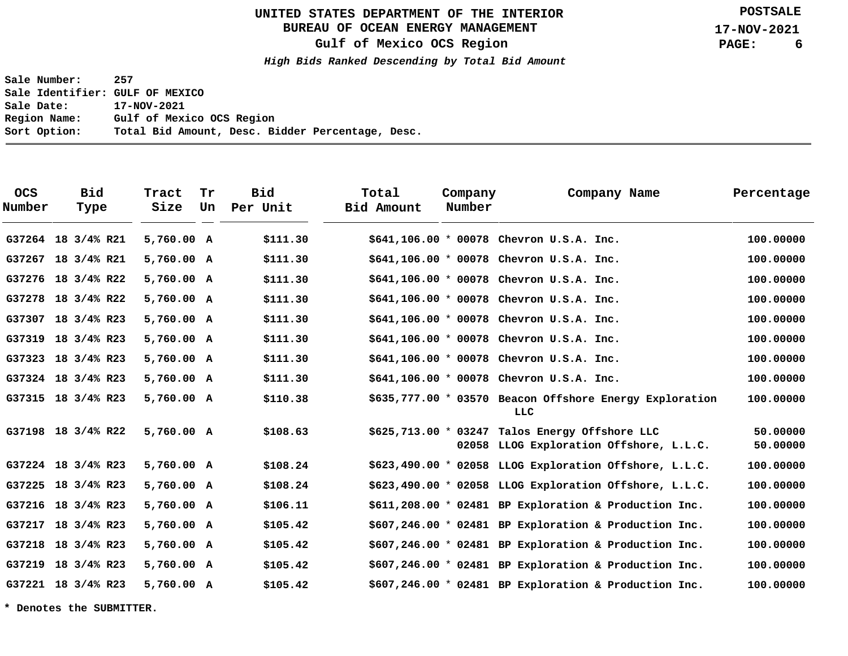# **BUREAU OF OCEAN ENERGY MANAGEMENT**

**Gulf of Mexico OCS Region**

**High Bids Ranked Descending by Total Bid Amount**

**Sale Number: 257 Sale Identifier: GULF OF MEXICO Sale Date: 17-NOV-2021 Region Name: Gulf of Mexico OCS Region Sort Option: Total Bid Amount, Desc. Bidder Percentage, Desc.**

| <b>OCS</b><br>Number | Bid<br>Type            | Tract<br>Size | Tr<br>Un | Bid<br>Per Unit | Total<br>Bid Amount | Company<br>Number | Company Name                                                                               | Percentage           |
|----------------------|------------------------|---------------|----------|-----------------|---------------------|-------------------|--------------------------------------------------------------------------------------------|----------------------|
|                      | G37264 18 3/4% R21     | 5,760.00 A    |          | \$111.30        |                     |                   | $$641,106.00 * 00078$ Chevron U.S.A. Inc.                                                  | 100,00000            |
|                      | G37267 18 3/4% R21     | 5,760.00 A    |          | \$111.30        |                     |                   | $$641,106.00 * 00078$ Chevron U.S.A. Inc.                                                  | 100.00000            |
|                      | G37276 18 3/4% R22     | 5,760.00 A    |          | \$111.30        |                     |                   | $$641,106.00 * 00078$ Chevron U.S.A. Inc.                                                  | 100,00000            |
|                      | G37278 18 3/4% R22     | 5,760.00 A    |          | \$111.30        |                     |                   | $$641,106.00 * 00078$ Chevron U.S.A. Inc.                                                  | 100,00000            |
| G37307               | 18 3/4% R23            | 5,760.00 A    |          | \$111.30        |                     |                   | $$641,106.00 * 00078$ Chevron U.S.A. Inc.                                                  | 100.00000            |
| G37319               | 18 3/4% R23            | 5,760.00 A    |          | \$111.30        |                     |                   | $$641,106.00 * 00078$ Chevron U.S.A. Inc.                                                  | 100,00000            |
|                      | G37323 18 3/4% R23     | 5,760.00 A    |          | \$111.30        |                     |                   | $$641,106.00 * 00078$ Chevron U.S.A. Inc.                                                  | 100.00000            |
|                      | G37324 18 3/4% R23     | 5,760.00 A    |          | \$111.30        |                     |                   | $$641,106.00 * 00078$ Chevron U.S.A. Inc.                                                  | 100,00000            |
|                      | G37315 18 3/4% R23     | 5,760.00 A    |          | \$110.38        |                     |                   | \$635,777.00 * 03570 Beacon Offshore Energy Exploration<br>LLC                             | 100,00000            |
|                      | G37198 18 3/4% R22     | 5,760.00 A    |          | \$108.63        |                     |                   | $$625,713.00 * 03247$ Talos Energy Offshore LLC<br>02058 LLOG Exploration Offshore, L.L.C. | 50.00000<br>50.00000 |
|                      | G37224 18 3/4% R23     | 5,760.00 A    |          | \$108.24        |                     |                   | $$623,490.00 * 02058$ LLOG Exploration Offshore, L.L.C.                                    | 100.00000            |
| G37225               | 18 3/4% R23            | 5,760.00 A    |          | \$108.24        |                     |                   | $$623,490.00 * 02058$ LLOG Exploration Offshore, L.L.C.                                    | 100,00000            |
|                      | G37216 18 3/4% R23     | 5,760.00 A    |          | \$106.11        |                     |                   | $$611,208.00 * 02481$ BP Exploration & Production Inc.                                     | 100.00000            |
| G37217               | 18 3/4% R23            | 5,760.00 A    |          | \$105.42        |                     |                   | $$607,246.00 * 02481$ BP Exploration & Production Inc.                                     | 100,00000            |
|                      | G37218 18 3/4% R23     | 5,760.00 A    |          | \$105.42        |                     |                   | \$607,246.00 * 02481 BP Exploration & Production Inc.                                      | 100.00000            |
| G37219               | $18 \frac{3}{4\%}$ R23 | 5,760.00 A    |          | \$105.42        |                     |                   | \$607,246.00 * 02481 BP Exploration & Production Inc.                                      | 100.00000            |
|                      | G37221 18 3/4% R23     | 5,760.00 A    |          | \$105.42        |                     |                   | $$607,246.00 * 02481$ BP Exploration & Production Inc.                                     | 100,00000            |

**\* Denotes the SUBMITTER.**

**POSTSALE**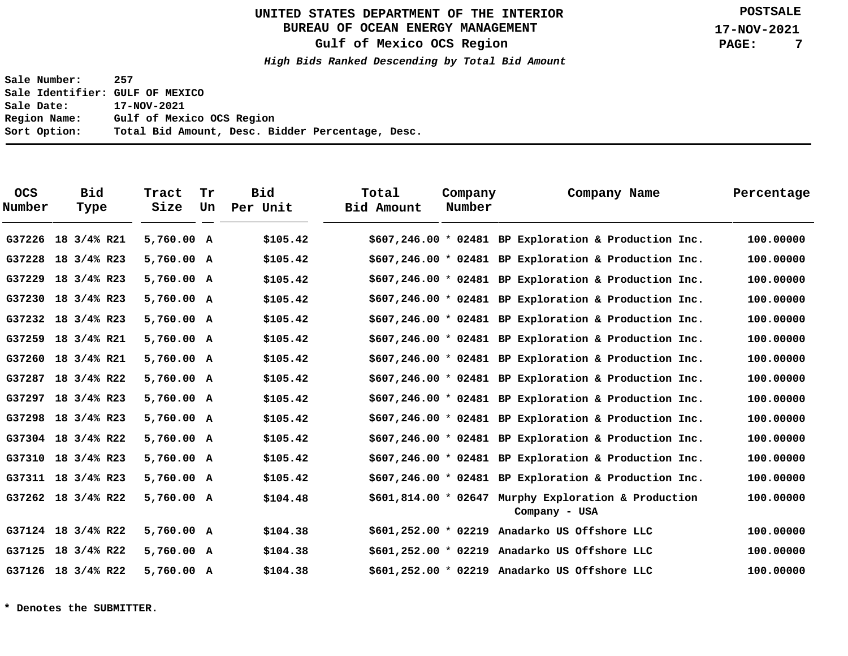# **BUREAU OF OCEAN ENERGY MANAGEMENT**

**Gulf of Mexico OCS Region**

**High Bids Ranked Descending by Total Bid Amount**

**Sale Number: 257 Sale Identifier: GULF OF MEXICO Sale Date: 17-NOV-2021 Region Name: Gulf of Mexico OCS Region Sort Option: Total Bid Amount, Desc. Bidder Percentage, Desc.**

| <b>OCS</b><br>Number | <b>Bid</b><br>Type | Tract<br>Size | Tr<br>Un | Bid<br>Per Unit | Total<br>Bid Amount | Company<br>Number | Company Name                                                          | Percentage |
|----------------------|--------------------|---------------|----------|-----------------|---------------------|-------------------|-----------------------------------------------------------------------|------------|
| G37226               | 18 3/4% R21        | 5,760.00 A    |          | \$105.42        |                     |                   | $$607,246.00 * 02481$ BP Exploration & Production Inc.                | 100,00000  |
| G37228               | 18 3/4% R23        | 5,760.00 A    |          | \$105.42        |                     |                   | $$607, 246.00 * 02481$ BP Exploration & Production Inc.               | 100.00000  |
|                      | G37229 18 3/4% R23 | 5,760.00 A    |          | \$105.42        |                     |                   | $$607,246.00 * 02481$ BP Exploration & Production Inc.                | 100,00000  |
|                      | G37230 18 3/4% R23 | 5,760.00 A    |          | \$105.42        |                     |                   | $$607,246.00 * 02481$ BP Exploration & Production Inc.                | 100,00000  |
|                      | G37232 18 3/4% R23 | 5,760.00 A    |          | \$105.42        |                     |                   | $$607,246.00 * 02481$ BP Exploration & Production Inc.                | 100.00000  |
|                      | G37259 18 3/4% R21 | 5,760.00 A    |          | \$105.42        |                     |                   | $$607,246.00 * 02481$ BP Exploration & Production Inc.                | 100.00000  |
|                      | G37260 18 3/4% R21 | 5,760.00 A    |          | \$105.42        |                     |                   | $$607,246.00 * 02481$ BP Exploration & Production Inc.                | 100.00000  |
| G37287               | 18 3/4% R22        | 5,760.00 A    |          | \$105.42        |                     |                   | $$607, 246.00 * 02481$ BP Exploration & Production Inc.               | 100,00000  |
| G37297               | 18 3/4% R23        | 5,760.00 A    |          | \$105.42        |                     |                   | $$607,246.00 * 02481$ BP Exploration & Production Inc.                | 100,00000  |
|                      | G37298 18 3/4% R23 | 5,760.00 A    |          | \$105.42        |                     |                   | $$607,246.00 * 02481$ BP Exploration & Production Inc.                | 100.00000  |
|                      | G37304 18 3/4% R22 | 5,760.00 A    |          | \$105.42        |                     |                   | $$607,246.00 * 02481$ BP Exploration & Production Inc.                | 100.00000  |
|                      | G37310 18 3/4% R23 | 5,760.00 A    |          | \$105.42        |                     |                   | $$607,246.00 * 02481$ BP Exploration & Production Inc.                | 100,00000  |
|                      | G37311 18 3/4% R23 | 5,760.00 A    |          | \$105.42        |                     |                   | $$607,246.00 * 02481$ BP Exploration & Production Inc.                | 100,00000  |
|                      | G37262 18 3/4% R22 | 5,760.00 A    |          | \$104.48        |                     |                   | \$601,814.00 * 02647 Murphy Exploration & Production<br>Company - USA | 100,00000  |
|                      | G37124 18 3/4% R22 | 5,760.00 A    |          | \$104.38        |                     |                   | $$601,252.00$ * 02219 Anadarko US Offshore LLC                        | 100,00000  |
|                      | G37125 18 3/4% R22 | 5,760.00 A    |          | \$104.38        |                     |                   | \$601,252.00 * 02219 Anadarko US Offshore LLC                         | 100.00000  |
|                      | G37126 18 3/4% R22 | 5,760.00 A    |          | \$104.38        |                     |                   | $$601,252.00$ * 02219 Anadarko US Offshore LLC                        | 100.00000  |

**\* Denotes the SUBMITTER.**

**POSTSALE**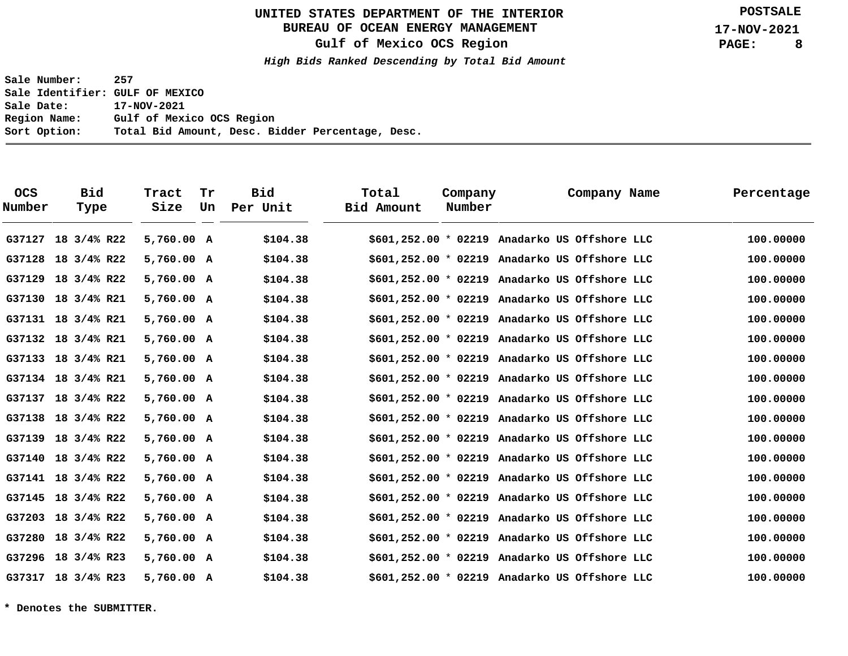# **BUREAU OF OCEAN ENERGY MANAGEMENT**

**Gulf of Mexico OCS Region**

**High Bids Ranked Descending by Total Bid Amount**

**Sale Number: 257 Sale Identifier: GULF OF MEXICO Sale Date: 17-NOV-2021 Region Name: Gulf of Mexico OCS Region Sort Option: Total Bid Amount, Desc. Bidder Percentage, Desc.**

| <b>OCS</b><br>Number | <b>Bid</b><br>Type | Tract<br>Size | Tr<br>Un | <b>Bid</b><br>Per Unit | Total<br>Bid Amount | Company<br>Number | Company Name                                   | Percentage |
|----------------------|--------------------|---------------|----------|------------------------|---------------------|-------------------|------------------------------------------------|------------|
| G37127               | 18 3/4% R22        | 5,760.00 A    |          | \$104.38               |                     |                   | \$601,252.00 * 02219 Anadarko US Offshore LLC  | 100,00000  |
|                      | G37128 18 3/4% R22 | 5,760.00 A    |          | \$104.38               |                     |                   | $$601,252.00$ * 02219 Anadarko US Offshore LLC | 100,00000  |
| G37129               | 18 3/4% R22        | 5,760.00 A    |          | \$104.38               |                     |                   | $$601,252.00 * 02219$ Anadarko US Offshore LLC | 100.00000  |
|                      | G37130 18 3/4% R21 | 5,760.00 A    |          | \$104.38               |                     |                   | $$601,252.00$ * 02219 Anadarko US Offshore LLC | 100,00000  |
|                      | G37131 18 3/4% R21 | 5,760.00 A    |          | \$104.38               |                     |                   | $$601,252.00 * 02219$ Anadarko US Offshore LLC | 100.00000  |
|                      | G37132 18 3/4% R21 | 5,760.00 A    |          | \$104.38               |                     |                   | $$601,252.00 * 02219$ Anadarko US Offshore LLC | 100,00000  |
|                      | G37133 18 3/4% R21 | 5,760.00 A    |          | \$104.38               |                     |                   | $$601,252.00 * 02219$ Anadarko US Offshore LLC | 100.00000  |
|                      | G37134 18 3/4% R21 | 5,760.00 A    |          | \$104.38               |                     |                   | $$601,252.00$ * 02219 Anadarko US Offshore LLC | 100,00000  |
|                      | G37137 18 3/4% R22 | 5,760.00 A    |          | \$104.38               |                     |                   | \$601,252.00 * 02219 Anadarko US Offshore LLC  | 100.00000  |
|                      | G37138 18 3/4% R22 | 5,760.00 A    |          | \$104.38               |                     |                   | $$601,252.00 * 02219$ Anadarko US Offshore LLC | 100,00000  |
|                      | G37139 18 3/4% R22 | 5,760.00 A    |          | \$104.38               |                     |                   | $$601,252.00 * 02219$ Anadarko US Offshore LLC | 100.00000  |
|                      | G37140 18 3/4% R22 | 5,760.00 A    |          | \$104.38               |                     |                   | $$601,252.00 * 02219$ Anadarko US Offshore LLC | 100,00000  |
|                      | G37141 18 3/4% R22 | 5,760.00 A    |          | \$104.38               |                     |                   | $$601,252.00 * 02219$ Anadarko US Offshore LLC | 100.00000  |
|                      | G37145 18 3/4% R22 | 5,760.00 A    |          | \$104.38               |                     |                   | $$601,252.00$ * 02219 Anadarko US Offshore LLC | 100,00000  |
|                      | G37203 18 3/4% R22 | 5,760.00 A    |          | \$104.38               |                     |                   | \$601,252.00 * 02219 Anadarko US Offshore LLC  | 100.00000  |
| G37280               | 18 3/4% R22        | 5,760.00 A    |          | \$104.38               |                     |                   | $$601,252.00$ * 02219 Anadarko US Offshore LLC | 100,00000  |
|                      | G37296 18 3/4% R23 | 5,760.00 A    |          | \$104.38               |                     |                   | $$601,252.00 * 02219$ Anadarko US Offshore LLC | 100.00000  |
|                      | G37317 18 3/4% R23 | 5,760.00 A    |          | \$104.38               |                     |                   | \$601,252.00 * 02219 Anadarko US Offshore LLC  | 100,00000  |

**\* Denotes the SUBMITTER.**

**POSTSALE**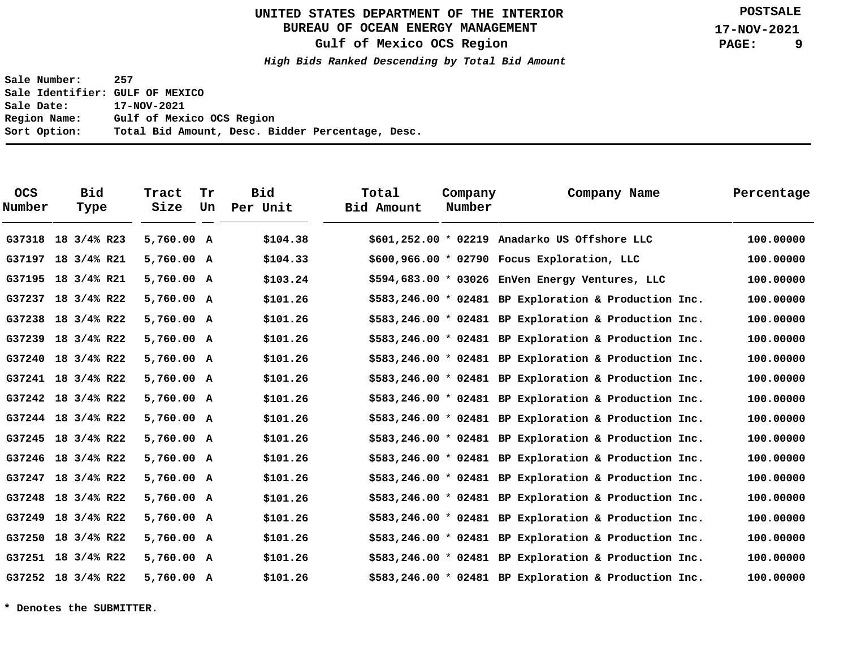# **BUREAU OF OCEAN ENERGY MANAGEMENT**

**Gulf of Mexico OCS Region**

**High Bids Ranked Descending by Total Bid Amount**

**Sale Number: 257 Sale Identifier: GULF OF MEXICO Sale Date: 17-NOV-2021 Region Name: Gulf of Mexico OCS Region Sort Option: Total Bid Amount, Desc. Bidder Percentage, Desc.**

| <b>OCS</b><br>Number | <b>Bid</b><br>Type | Tract<br>Size | Tr<br>Un | Bid<br>Per Unit | Total<br>Bid Amount | Company<br>Number | Company Name                                            | Percentage |
|----------------------|--------------------|---------------|----------|-----------------|---------------------|-------------------|---------------------------------------------------------|------------|
|                      | G37318 18 3/4% R23 | 5,760.00 A    |          | \$104.38        |                     |                   | \$601,252.00 * 02219 Anadarko US Offshore LLC           | 100,00000  |
|                      | G37197 18 3/4% R21 | 5,760.00 A    |          | \$104.33        |                     |                   | $$600, 966.00 * 02790$ Focus Exploration, LLC           | 100.00000  |
|                      | G37195 18 3/4% R21 | 5,760.00 A    |          | \$103.24        |                     |                   | $$594,683.00 * 03026$ EnVen Energy Ventures, LLC        | 100.00000  |
|                      | G37237 18 3/4% R22 | 5,760.00 A    |          | \$101.26        |                     |                   | $$583, 246.00 * 02481$ BP Exploration & Production Inc. | 100.00000  |
|                      | G37238 18 3/4% R22 | 5,760.00 A    |          | \$101.26        |                     |                   | $$583, 246.00 * 02481$ BP Exploration & Production Inc. | 100,00000  |
|                      | G37239 18 3/4% R22 | 5,760.00 A    |          | \$101.26        |                     |                   | $$583, 246.00 * 02481$ BP Exploration & Production Inc. | 100.00000  |
| G37240               | 18 3/4% R22        | 5,760.00 A    |          | \$101.26        |                     |                   | $$583,246.00 * 02481$ BP Exploration & Production Inc.  | 100,00000  |
|                      | G37241 18 3/4% R22 | 5,760.00 A    |          | \$101.26        |                     |                   | \$583,246.00 * 02481 BP Exploration & Production Inc.   | 100,00000  |
|                      | G37242 18 3/4% R22 | 5,760.00 A    |          | \$101.26        |                     |                   | $$583,246.00 * 02481$ BP Exploration & Production Inc.  | 100.00000  |
|                      | G37244 18 3/4% R22 | 5,760.00 A    |          | \$101.26        |                     |                   | $$583,246.00 * 02481$ BP Exploration & Production Inc.  | 100.00000  |
|                      | G37245 18 3/4% R22 | 5,760.00 A    |          | \$101.26        |                     |                   | $$583,246.00 * 02481$ BP Exploration & Production Inc.  | 100.00000  |
|                      | G37246 18 3/4% R22 | 5,760.00 A    |          | \$101.26        |                     |                   | $$583,246.00 * 02481$ BP Exploration & Production Inc.  | 100.00000  |
|                      | G37247 18 3/4% R22 | 5,760.00 A    |          | \$101.26        |                     |                   | $$583, 246.00 * 02481$ BP Exploration & Production Inc. | 100,00000  |
|                      | G37248 18 3/4% R22 | 5,760.00 A    |          | \$101.26        |                     |                   | $$583,246.00 * 02481$ BP Exploration & Production Inc.  | 100,00000  |
|                      | G37249 18 3/4% R22 | 5,760.00 A    |          | \$101.26        |                     |                   | \$583,246.00 * 02481 BP Exploration & Production Inc.   | 100,00000  |
|                      | G37250 18 3/4% R22 | 5,760.00 A    |          | \$101.26        |                     |                   | $$583,246.00 * 02481$ BP Exploration & Production Inc.  | 100.00000  |
|                      | G37251 18 3/4% R22 | 5,760.00 A    |          | \$101.26        |                     |                   | $$583,246.00 * 02481$ BP Exploration & Production Inc.  | 100.00000  |
|                      | G37252 18 3/4% R22 | 5,760.00 A    |          | \$101.26        |                     |                   | $$583,246.00 * 02481$ BP Exploration & Production Inc.  | 100.00000  |

**\* Denotes the SUBMITTER.**

**POSTSALE**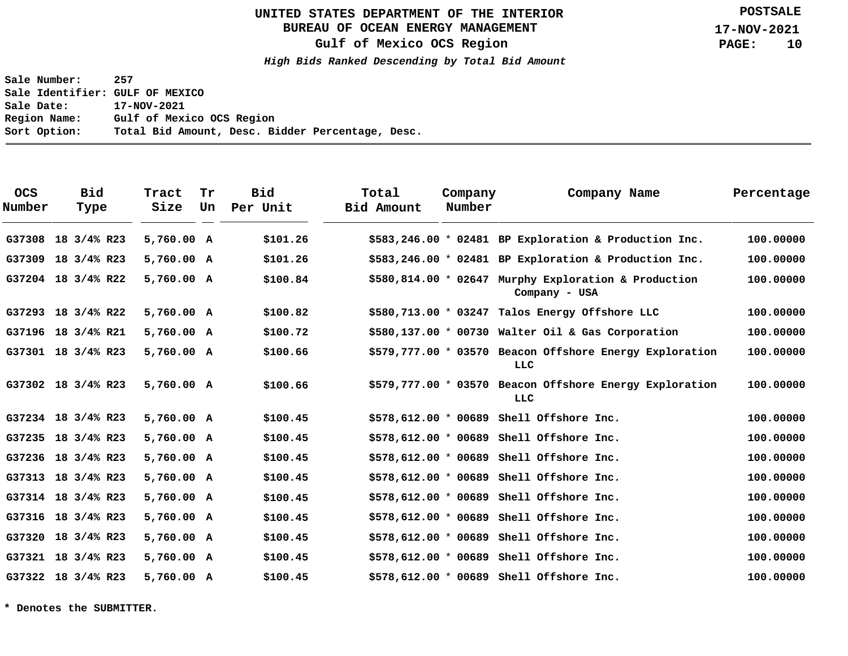# **BUREAU OF OCEAN ENERGY MANAGEMENT**

**Gulf of Mexico OCS Region**

**High Bids Ranked Descending by Total Bid Amount**

**Sale Number: 257 Sale Identifier: GULF OF MEXICO Sale Date: 17-NOV-2021 Region Name: Gulf of Mexico OCS Region Sort Option: Total Bid Amount, Desc. Bidder Percentage, Desc.**

| <b>OCS</b><br>Number | <b>Bid</b><br>Type | Tract<br>Size | Tr<br>Un | Bid<br>Per Unit | Total<br>Bid Amount | Company<br>Number | Company Name                                                          | Percentage |
|----------------------|--------------------|---------------|----------|-----------------|---------------------|-------------------|-----------------------------------------------------------------------|------------|
| G37308               | 18 3/4% R23        | 5,760.00 A    |          | \$101.26        |                     |                   | $$583,246.00 * 02481$ BP Exploration & Production Inc.                | 100,00000  |
| G37309 18 3/4% R23   |                    | 5,760.00 A    |          | \$101.26        |                     |                   | \$583,246.00 * 02481 BP Exploration & Production Inc.                 | 100.00000  |
| G37204 18 3/4% R22   |                    | 5,760.00 A    |          | \$100.84        |                     |                   | \$580,814.00 * 02647 Murphy Exploration & Production<br>Company - USA | 100.00000  |
| G37293 18 3/4% R22   |                    | 5,760.00 A    |          | \$100.82        |                     |                   | \$580,713.00 * 03247 Talos Energy Offshore LLC                        | 100,00000  |
| G37196 18 3/4% R21   |                    | 5,760.00 A    |          | \$100.72        |                     |                   | \$580,137.00 * 00730 Walter Oil & Gas Corporation                     | 100.00000  |
| G37301 18 3/4% R23   |                    | 5,760.00 A    |          | \$100.66        |                     |                   | \$579,777.00 * 03570 Beacon Offshore Energy Exploration<br>LLC        | 100.00000  |
| G37302 18 3/4% R23   |                    | 5,760.00 A    |          | \$100.66        |                     |                   | \$579,777.00 * 03570 Beacon Offshore Energy Exploration<br>LLC        | 100.00000  |
| G37234 18 3/4% R23   |                    | 5,760.00 A    |          | \$100.45        |                     |                   | $$578,612.00 * 00689$ Shell Offshore Inc.                             | 100.00000  |
| G37235 18 3/4% R23   |                    | 5,760.00 A    |          | \$100.45        |                     |                   | $$578,612.00 * 00689$ Shell Offshore Inc.                             | 100,00000  |
| G37236 18 3/4% R23   |                    | 5,760.00 A    |          | \$100.45        |                     |                   | \$578,612.00 * 00689 Shell Offshore Inc.                              | 100.00000  |
| G37313 18 3/4% R23   |                    | 5,760.00 A    |          | \$100.45        |                     |                   | $$578,612.00 * 00689$ Shell Offshore Inc.                             | 100,00000  |
| G37314 18 3/4% R23   |                    | 5,760.00 A    |          | \$100.45        |                     |                   | $$578,612.00 * 00689$ Shell Offshore Inc.                             | 100.00000  |
| G37316 18 3/4% R23   |                    | 5,760.00 A    |          | \$100.45        |                     |                   | $$578,612.00 * 00689$ Shell Offshore Inc.                             | 100,00000  |
| G37320 18 3/4% R23   |                    | 5,760.00 A    |          | \$100.45        |                     |                   | $$578,612.00 * 00689$ Shell Offshore Inc.                             | 100.00000  |
| G37321 18 3/4% R23   |                    | 5,760.00 A    |          | \$100.45        |                     |                   | $$578,612.00 * 00689$ Shell Offshore Inc.                             | 100,00000  |
| G37322 18 3/4% R23   |                    | 5,760.00 A    |          | \$100.45        |                     |                   | \$578,612.00 * 00689 Shell Offshore Inc.                              | 100.00000  |

**\* Denotes the SUBMITTER.**

**POSTSALE**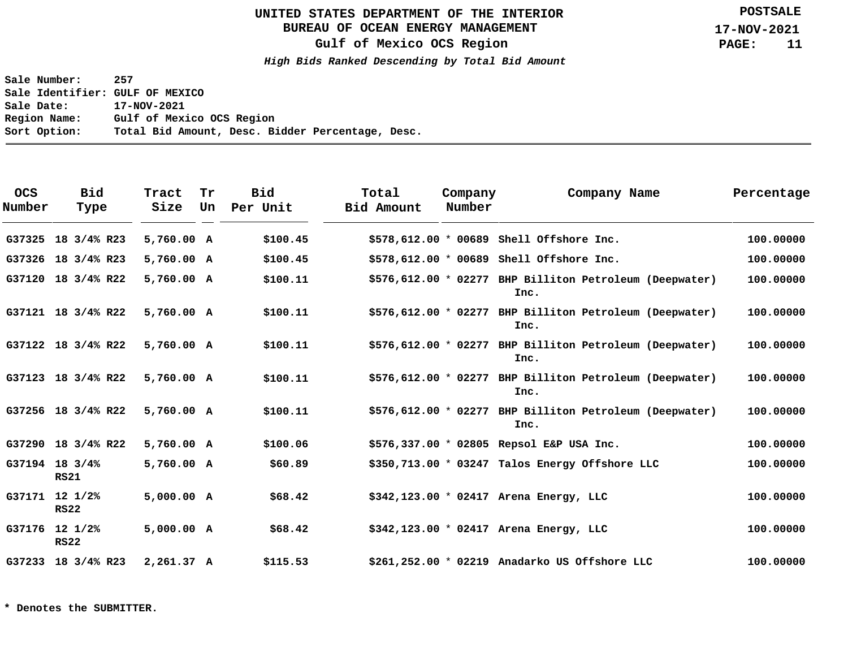# **BUREAU OF OCEAN ENERGY MANAGEMENT**

**Gulf of Mexico OCS Region**

**High Bids Ranked Descending by Total Bid Amount**

**Sale Number: 257 Sale Identifier: GULF OF MEXICO Sale Date: 17-NOV-2021 Region Name: Gulf of Mexico OCS Region Sort Option: Total Bid Amount, Desc. Bidder Percentage, Desc.**

| <b>OCS</b><br>Number | <b>Bid</b><br>Type            | Tract<br>Size | Tr<br>Un | <b>Bid</b><br>Per Unit | Total<br>Bid Amount | Company<br>Number | Company Name                                                    | Percentage |
|----------------------|-------------------------------|---------------|----------|------------------------|---------------------|-------------------|-----------------------------------------------------------------|------------|
| G37325               | 18 3/4% R23                   | 5,760.00 A    |          | \$100.45               |                     |                   | $$578,612.00 * 00689$ Shell Offshore Inc.                       | 100.00000  |
| G37326               | 18 3/4% R23                   | 5,760.00 A    |          | \$100.45               |                     |                   | $$578,612.00 * 00689$ Shell Offshore Inc.                       | 100.00000  |
| G37120               | 18 3/4% R22                   | 5,760.00 A    |          | \$100.11               |                     |                   | \$576,612.00 * 02277 BHP Billiton Petroleum (Deepwater)<br>Inc. | 100.00000  |
|                      | G37121 18 3/4% R22            | 5,760.00 A    |          | \$100.11               |                     |                   | \$576,612.00 * 02277 BHP Billiton Petroleum (Deepwater)<br>Inc. | 100.00000  |
|                      | G37122 18 3/4% R22            | 5,760.00 A    |          | \$100.11               |                     |                   | \$576,612.00 * 02277 BHP Billiton Petroleum (Deepwater)<br>Inc. | 100.00000  |
|                      | G37123 18 3/4% R22            | 5,760.00 A    |          | \$100.11               |                     |                   | \$576,612.00 * 02277 BHP Billiton Petroleum (Deepwater)<br>Inc. | 100.00000  |
|                      | G37256 18 3/4% R22            | 5,760.00 A    |          | \$100.11               |                     |                   | \$576,612.00 * 02277 BHP Billiton Petroleum (Deepwater)<br>Inc. | 100,00000  |
|                      | G37290 18 3/4% R22            | 5,760.00 A    |          | \$100.06               |                     |                   | \$576,337.00 * 02805 Repsol E&P USA Inc.                        | 100.00000  |
|                      | G37194 18 3/4%<br><b>RS21</b> | 5,760.00 A    |          | \$60.89                |                     |                   | \$350,713.00 * 03247 Talos Energy Offshore LLC                  | 100.00000  |
|                      | G37171 12 1/2%<br><b>RS22</b> | 5,000.00 A    |          | \$68.42                |                     |                   | \$342,123.00 * 02417 Arena Energy, LLC                          | 100.00000  |
|                      | G37176 12 1/2%<br><b>RS22</b> | 5,000.00 A    |          | \$68.42                |                     |                   | $$342,123.00 * 02417$ Arena Energy, LLC                         | 100.00000  |
|                      | G37233 18 3/4% R23            | 2,261.37 A    |          | \$115.53               |                     |                   | \$261,252.00 * 02219 Anadarko US Offshore LLC                   | 100.00000  |

**\* Denotes the SUBMITTER.**

**POSTSALE**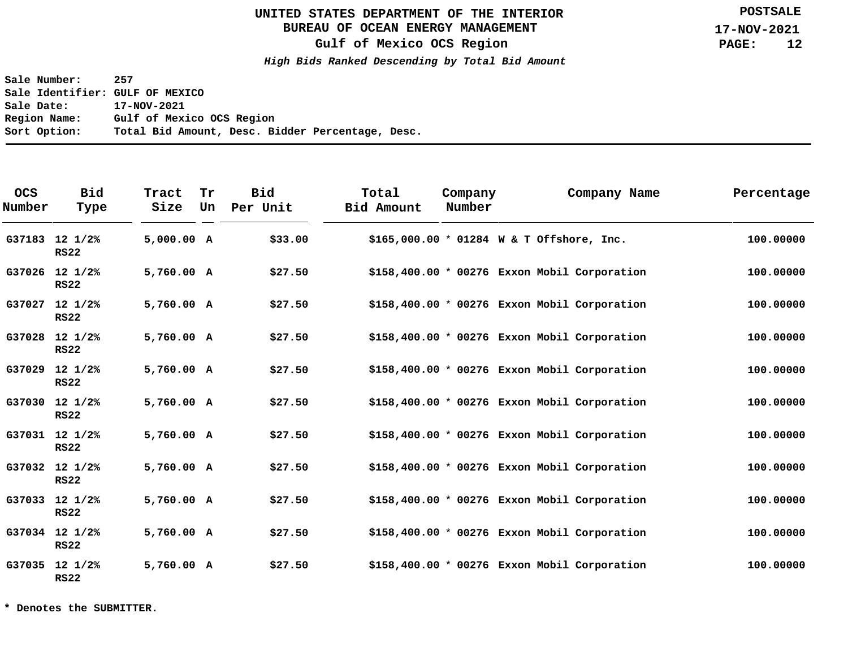# **BUREAU OF OCEAN ENERGY MANAGEMENT**

**Gulf of Mexico OCS Region**

**High Bids Ranked Descending by Total Bid Amount**

**Sale Number: 257 Sale Identifier: GULF OF MEXICO Sale Date: 17-NOV-2021 Region Name: Gulf of Mexico OCS Region Sort Option: Total Bid Amount, Desc. Bidder Percentage, Desc.**

| <b>OCS</b><br>Number | <b>Bid</b><br>Type              | Tract<br>Size | Tr<br>Un | <b>Bid</b><br>Per Unit | Total<br>Bid Amount | Company<br>Number |                                           | Company Name                                  | Percentage |
|----------------------|---------------------------------|---------------|----------|------------------------|---------------------|-------------------|-------------------------------------------|-----------------------------------------------|------------|
|                      | G37183 12 1/2%<br><b>RS22</b>   | 5,000.00 A    |          | \$33.00                |                     |                   | \$165,000.00 * 01284 W & T Offshore, Inc. |                                               | 100.00000  |
|                      | G37026 12 1/2%<br><b>RS22</b>   | 5,760.00 A    |          | \$27.50                |                     |                   |                                           | $$158,400.00 * 00276$ Exxon Mobil Corporation | 100.00000  |
| G37027               | $12 \frac{1}{2}$<br><b>RS22</b> | 5,760.00 A    |          | \$27.50                |                     |                   |                                           | \$158,400.00 * 00276 Exxon Mobil Corporation  | 100.00000  |
|                      | G37028 12 1/2%<br><b>RS22</b>   | 5,760.00 A    |          | \$27.50                |                     |                   |                                           | \$158,400.00 * 00276 Exxon Mobil Corporation  | 100.00000  |
| G37029               | $12 \frac{1}{2}$<br><b>RS22</b> | 5,760.00 A    |          | \$27.50                |                     |                   |                                           | $$158,400.00 * 00276$ Exxon Mobil Corporation | 100.00000  |
|                      | G37030 12 1/2%<br><b>RS22</b>   | 5,760.00 A    |          | \$27.50                |                     |                   |                                           | $$158,400.00 * 00276$ Exxon Mobil Corporation | 100.00000  |
|                      | G37031 12 1/2%<br><b>RS22</b>   | 5,760.00 A    |          | \$27.50                |                     |                   |                                           | $$158,400.00 * 00276$ Exxon Mobil Corporation | 100.00000  |
|                      | G37032 12 1/2%<br><b>RS22</b>   | 5,760.00 A    |          | \$27.50                |                     |                   |                                           | $$158,400.00 * 00276$ Exxon Mobil Corporation | 100.00000  |
|                      | G37033 12 1/2%<br><b>RS22</b>   | 5,760.00 A    |          | \$27.50                |                     |                   |                                           | $$158,400.00 * 00276$ Exxon Mobil Corporation | 100.00000  |
|                      | G37034 12 1/2%<br><b>RS22</b>   | 5,760.00 A    |          | \$27.50                |                     |                   |                                           | $$158,400.00 * 00276$ Exxon Mobil Corporation | 100.00000  |
|                      | G37035 12 1/2%<br><b>RS22</b>   | 5,760.00 A    |          | \$27.50                |                     |                   |                                           | $$158,400.00 * 00276$ Exxon Mobil Corporation | 100.00000  |

**\* Denotes the SUBMITTER.**

**POSTSALE**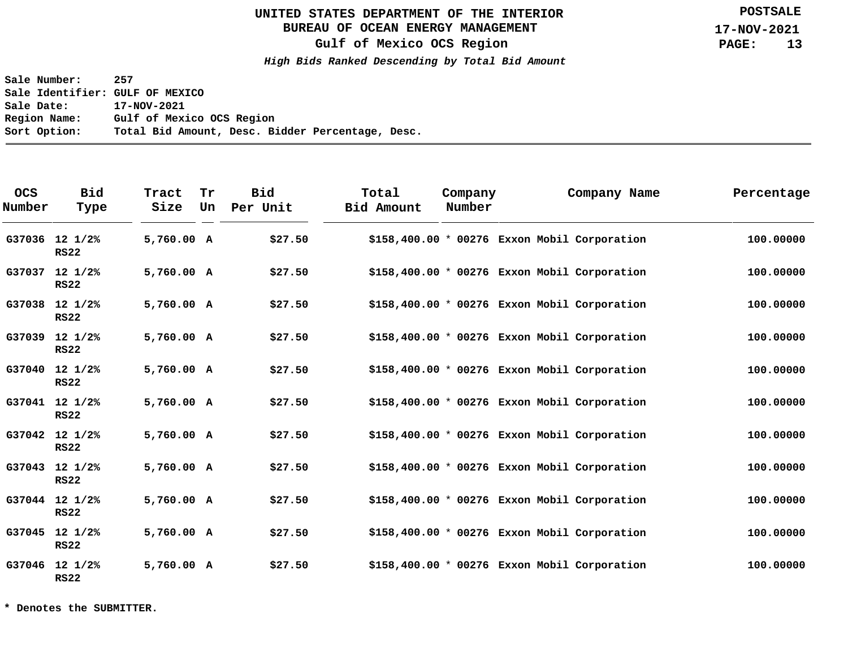# **BUREAU OF OCEAN ENERGY MANAGEMENT**

**Gulf of Mexico OCS Region**

**High Bids Ranked Descending by Total Bid Amount**

**Sale Number: 257 Sale Identifier: GULF OF MEXICO Sale Date: 17-NOV-2021 Region Name: Gulf of Mexico OCS Region Sort Option: Total Bid Amount, Desc. Bidder Percentage, Desc.**

| <b>OCS</b><br>Number | <b>Bid</b><br>Type              | Tract<br>Size | Tr<br>Un | <b>Bid</b><br>Per Unit | Total<br>Bid Amount | Company<br>Number | Company Name                                  | Percentage |
|----------------------|---------------------------------|---------------|----------|------------------------|---------------------|-------------------|-----------------------------------------------|------------|
|                      | G37036 12 1/2%<br><b>RS22</b>   | 5,760.00 A    |          | \$27.50                |                     |                   | $$158,400.00 * 00276$ Exxon Mobil Corporation | 100.00000  |
| G37037               | $12 \frac{1}{2}$<br><b>RS22</b> | 5,760.00 A    |          | \$27.50                |                     |                   | $$158,400.00 * 00276$ Exxon Mobil Corporation | 100.00000  |
|                      | G37038 12 1/2%<br><b>RS22</b>   | 5,760.00 A    |          | \$27.50                |                     |                   | $$158,400.00 * 00276$ Exxon Mobil Corporation | 100.00000  |
| G37039               | $12 \frac{1}{2}$<br><b>RS22</b> | 5,760.00 A    |          | \$27.50                |                     |                   | $$158,400.00 * 00276$ Exxon Mobil Corporation | 100,00000  |
|                      | G37040 12 1/2%<br><b>RS22</b>   | 5,760.00 A    |          | \$27.50                |                     |                   | $$158,400.00 * 00276$ Exxon Mobil Corporation | 100.00000  |
|                      | G37041 12 1/2%<br><b>RS22</b>   | 5,760.00 A    |          | \$27.50                |                     |                   | $$158,400.00 * 00276$ Exxon Mobil Corporation | 100.00000  |
|                      | G37042 12 1/2%<br><b>RS22</b>   | 5,760.00 A    |          | \$27.50                |                     |                   | $$158,400.00 * 00276$ Exxon Mobil Corporation | 100.00000  |
|                      | G37043 12 1/2%<br><b>RS22</b>   | 5,760.00 A    |          | \$27.50                |                     |                   | \$158,400.00 * 00276 Exxon Mobil Corporation  | 100.00000  |
|                      | G37044 12 1/2%<br><b>RS22</b>   | 5,760.00 A    |          | \$27.50                |                     |                   | $$158,400.00 * 00276$ Exxon Mobil Corporation | 100.00000  |
|                      | G37045 12 1/2%<br><b>RS22</b>   | 5,760.00 A    |          | \$27.50                |                     |                   | $$158,400.00 * 00276$ Exxon Mobil Corporation | 100.00000  |
|                      | G37046 12 1/2%<br><b>RS22</b>   | 5,760.00 A    |          | \$27.50                |                     |                   | $$158,400.00 * 00276$ Exxon Mobil Corporation | 100.00000  |

**\* Denotes the SUBMITTER.**

**POSTSALE**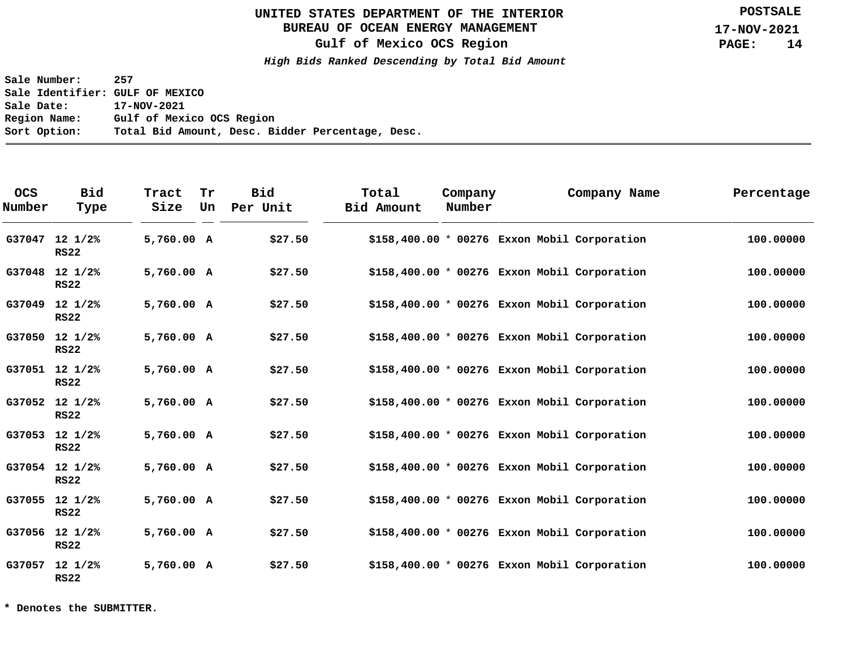# **BUREAU OF OCEAN ENERGY MANAGEMENT**

**Gulf of Mexico OCS Region**

**High Bids Ranked Descending by Total Bid Amount**

**Sale Number: 257 Sale Identifier: GULF OF MEXICO Sale Date: 17-NOV-2021 Region Name: Gulf of Mexico OCS Region Sort Option: Total Bid Amount, Desc. Bidder Percentage, Desc.**

| <b>OCS</b><br>Number | <b>Bid</b><br>Type              | Tract<br>Size | Tr<br>Un | <b>Bid</b><br>Per Unit | Total<br>Bid Amount                           | Company<br>Number | Company Name | Percentage |
|----------------------|---------------------------------|---------------|----------|------------------------|-----------------------------------------------|-------------------|--------------|------------|
|                      | G37047 12 1/2%<br><b>RS22</b>   | 5,760.00 A    |          | \$27.50                | $$158,400.00 * 00276$ Exxon Mobil Corporation |                   |              | 100.00000  |
|                      | G37048 12 1/2%<br><b>RS22</b>   | 5,760.00 A    |          | \$27.50                | $$158,400.00 * 00276$ Exxon Mobil Corporation |                   |              | 100.00000  |
| G37049               | $12 \frac{1}{2}$<br><b>RS22</b> | 5,760.00 A    |          | \$27.50                | $$158,400.00 * 00276$ Exxon Mobil Corporation |                   |              | 100.00000  |
|                      | G37050 12 1/2%<br><b>RS22</b>   | 5,760.00 A    |          | \$27.50                | $$158,400.00 * 00276$ Exxon Mobil Corporation |                   |              | 100,00000  |
|                      | G37051 12 1/2%<br><b>RS22</b>   | 5,760.00 A    |          | \$27.50                | $$158,400.00 * 00276$ Exxon Mobil Corporation |                   |              | 100.00000  |
|                      | G37052 12 1/2%<br><b>RS22</b>   | 5,760.00 A    |          | \$27.50                | $$158,400.00 * 00276$ Exxon Mobil Corporation |                   |              | 100.00000  |
|                      | G37053 12 1/2%<br><b>RS22</b>   | 5,760.00 A    |          | \$27.50                | $$158,400.00 * 00276$ Exxon Mobil Corporation |                   |              | 100.00000  |
|                      | G37054 12 1/2%<br><b>RS22</b>   | 5,760.00 A    |          | \$27.50                | \$158,400.00 * 00276 Exxon Mobil Corporation  |                   |              | 100.00000  |
|                      | G37055 12 1/2%<br><b>RS22</b>   | 5,760.00 A    |          | \$27.50                | $$158,400.00 * 00276$ Exxon Mobil Corporation |                   |              | 100.00000  |
|                      | G37056 12 1/2%<br><b>RS22</b>   | 5,760.00 A    |          | \$27.50                | $$158,400.00 * 00276$ Exxon Mobil Corporation |                   |              | 100.00000  |
|                      | G37057 12 1/2%<br><b>RS22</b>   | 5,760.00 A    |          | \$27.50                | $$158,400.00 * 00276$ Exxon Mobil Corporation |                   |              | 100.00000  |

**\* Denotes the SUBMITTER.**

**POSTSALE**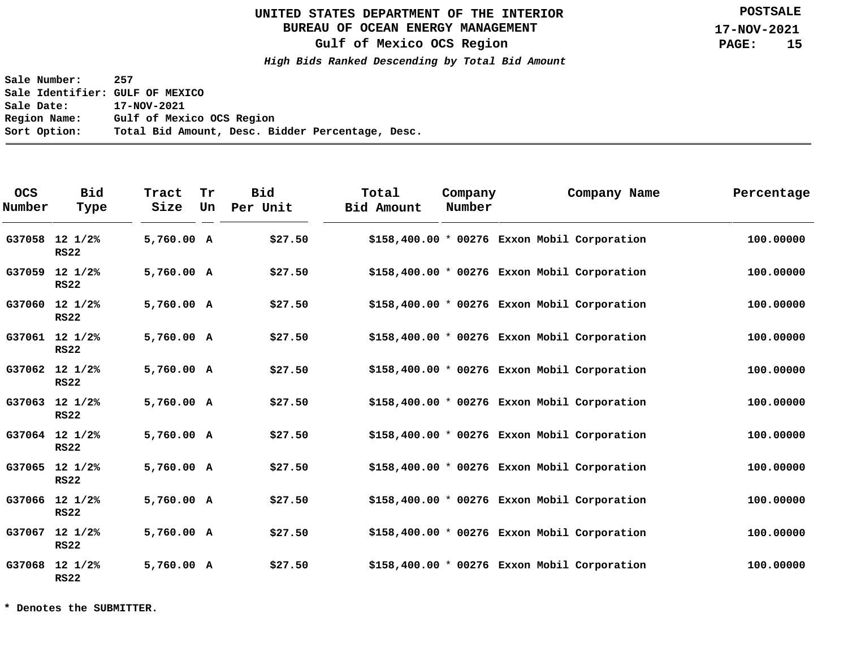# **BUREAU OF OCEAN ENERGY MANAGEMENT**

**Gulf of Mexico OCS Region**

**High Bids Ranked Descending by Total Bid Amount**

**Sale Number: 257 Sale Identifier: GULF OF MEXICO Sale Date: 17-NOV-2021 Region Name: Gulf of Mexico OCS Region Sort Option: Total Bid Amount, Desc. Bidder Percentage, Desc.**

| <b>OCS</b><br>Number | <b>Bid</b><br>Type              | Tract<br>Size | Tr<br>Un | <b>Bid</b><br>Per Unit | Total<br>Bid Amount                           | Company<br>Number | Company Name | Percentage |
|----------------------|---------------------------------|---------------|----------|------------------------|-----------------------------------------------|-------------------|--------------|------------|
|                      | G37058 12 1/2%<br><b>RS22</b>   | 5,760.00 A    |          | \$27.50                | \$158,400.00 * 00276 Exxon Mobil Corporation  |                   |              | 100.00000  |
| G37059               | $12 \frac{1}{2}$<br><b>RS22</b> | 5,760.00 A    |          | \$27.50                | $$158,400.00 * 00276$ Exxon Mobil Corporation |                   |              | 100.00000  |
|                      | G37060 12 1/2%<br><b>RS22</b>   | 5,760.00 A    |          | \$27.50                | $$158,400.00 * 00276$ Exxon Mobil Corporation |                   |              | 100.00000  |
|                      | G37061 12 1/2%<br><b>RS22</b>   | 5,760.00 A    |          | \$27.50                | $$158,400.00 * 00276$ Exxon Mobil Corporation |                   |              | 100,00000  |
|                      | G37062 12 1/2%<br><b>RS22</b>   | 5,760.00 A    |          | \$27.50                | $$158,400.00 * 00276$ Exxon Mobil Corporation |                   |              | 100.00000  |
|                      | G37063 12 1/2%<br><b>RS22</b>   | 5,760.00 A    |          | \$27.50                | $$158,400.00 * 00276$ Exxon Mobil Corporation |                   |              | 100.00000  |
|                      | G37064 12 1/2%<br><b>RS22</b>   | 5,760.00 A    |          | \$27.50                | $$158,400.00 * 00276$ Exxon Mobil Corporation |                   |              | 100.00000  |
|                      | G37065 12 1/2%<br><b>RS22</b>   | 5,760.00 A    |          | \$27.50                | \$158,400.00 * 00276 Exxon Mobil Corporation  |                   |              | 100.00000  |
|                      | G37066 12 1/2%<br><b>RS22</b>   | 5,760.00 A    |          | \$27.50                | $$158,400.00 * 00276$ Exxon Mobil Corporation |                   |              | 100.00000  |
|                      | G37067 12 1/2%<br><b>RS22</b>   | 5,760.00 A    |          | \$27.50                | $$158,400.00 * 00276$ Exxon Mobil Corporation |                   |              | 100.00000  |
|                      | G37068 12 1/2%<br><b>RS22</b>   | 5,760.00 A    |          | \$27.50                | $$158,400.00 * 00276$ Exxon Mobil Corporation |                   |              | 100.00000  |

**\* Denotes the SUBMITTER.**

**POSTSALE**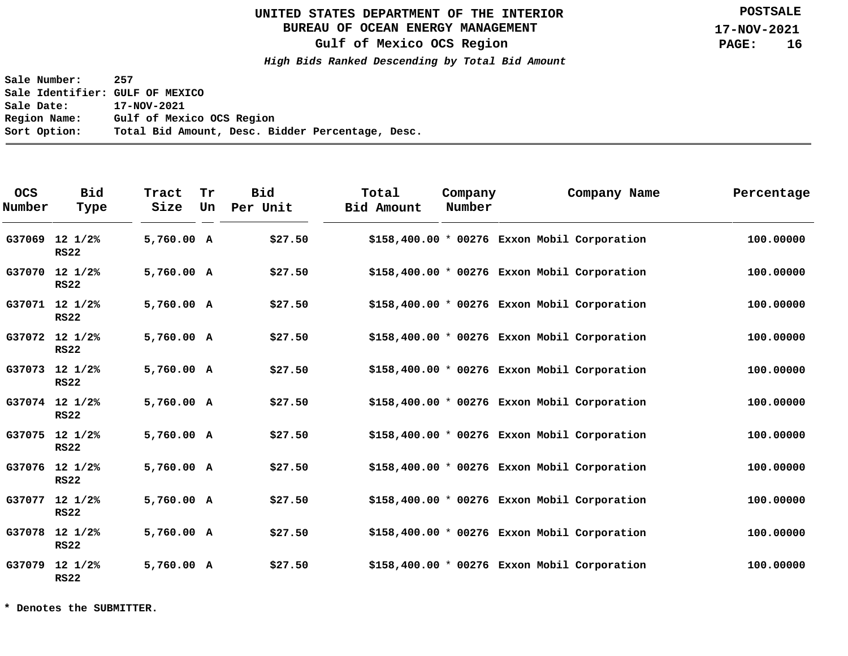# **BUREAU OF OCEAN ENERGY MANAGEMENT**

**Gulf of Mexico OCS Region**

**High Bids Ranked Descending by Total Bid Amount**

**Sale Number: 257 Sale Identifier: GULF OF MEXICO Sale Date: 17-NOV-2021 Region Name: Gulf of Mexico OCS Region Sort Option: Total Bid Amount, Desc. Bidder Percentage, Desc.**

| <b>OCS</b><br>Number | <b>Bid</b><br>Type              | Tract<br>Size | Tr<br>Un | <b>Bid</b><br>Per Unit | Total<br>Bid Amount                           | Company<br>Number | Company Name | Percentage |
|----------------------|---------------------------------|---------------|----------|------------------------|-----------------------------------------------|-------------------|--------------|------------|
| G37069               | $12 \frac{1}{2}$<br><b>RS22</b> | 5,760.00 A    |          | \$27.50                | \$158,400.00 * 00276 Exxon Mobil Corporation  |                   |              | 100.00000  |
|                      | G37070 12 1/2%<br><b>RS22</b>   | 5,760.00 A    |          | \$27.50                | $$158,400.00 * 00276$ Exxon Mobil Corporation |                   |              | 100.00000  |
|                      | G37071 12 1/2%<br><b>RS22</b>   | 5,760.00 A    |          | \$27.50                | $$158,400.00 * 00276$ Exxon Mobil Corporation |                   |              | 100.00000  |
|                      | G37072 12 1/2%<br><b>RS22</b>   | 5,760.00 A    |          | \$27.50                | $$158,400.00 * 00276$ Exxon Mobil Corporation |                   |              | 100,00000  |
|                      | G37073 12 1/2%<br><b>RS22</b>   | 5,760.00 A    |          | \$27.50                | $$158,400.00 * 00276$ Exxon Mobil Corporation |                   |              | 100.00000  |
|                      | G37074 12 1/2%<br><b>RS22</b>   | 5,760.00 A    |          | \$27.50                | $$158,400.00 * 00276$ Exxon Mobil Corporation |                   |              | 100.00000  |
|                      | G37075 12 1/2%<br><b>RS22</b>   | 5,760.00 A    |          | \$27.50                | $$158,400.00 * 00276$ Exxon Mobil Corporation |                   |              | 100.00000  |
|                      | G37076 12 1/2%<br><b>RS22</b>   | 5,760.00 A    |          | \$27.50                | \$158,400.00 * 00276 Exxon Mobil Corporation  |                   |              | 100.00000  |
| G37077               | $12 \frac{1}{2}$<br><b>RS22</b> | 5,760.00 A    |          | \$27.50                | $$158,400.00 * 00276$ Exxon Mobil Corporation |                   |              | 100.00000  |
|                      | G37078 12 1/2%<br><b>RS22</b>   | 5,760.00 A    |          | \$27.50                | \$158,400.00 * 00276 Exxon Mobil Corporation  |                   |              | 100.00000  |
|                      | G37079 12 1/2%<br><b>RS22</b>   | 5,760.00 A    |          | \$27.50                | $$158,400.00 * 00276$ Exxon Mobil Corporation |                   |              | 100.00000  |

**\* Denotes the SUBMITTER.**

**POSTSALE**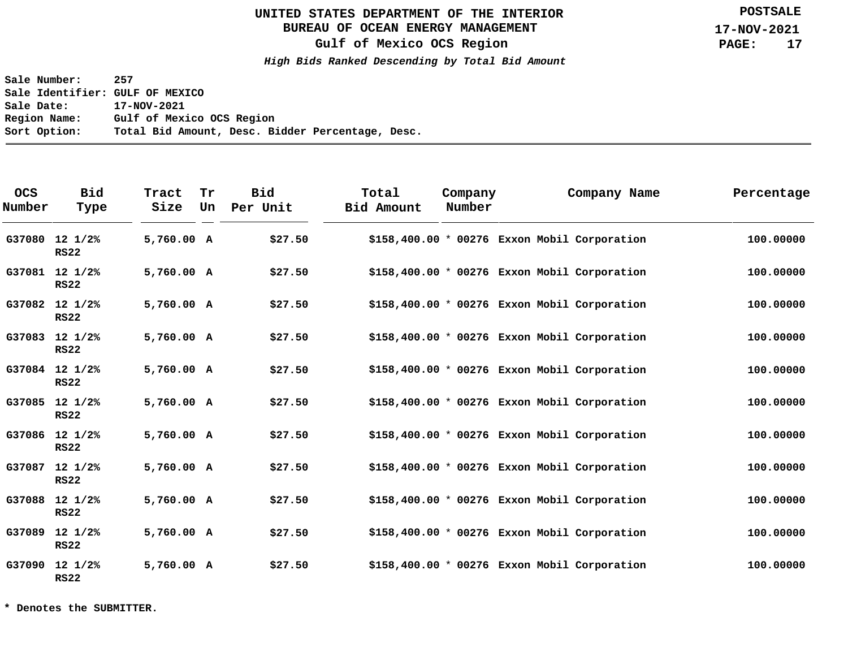# **BUREAU OF OCEAN ENERGY MANAGEMENT**

**Gulf of Mexico OCS Region**

**High Bids Ranked Descending by Total Bid Amount**

**Sale Number: 257 Sale Identifier: GULF OF MEXICO Sale Date: 17-NOV-2021 Region Name: Gulf of Mexico OCS Region Sort Option: Total Bid Amount, Desc. Bidder Percentage, Desc.**

| <b>OCS</b><br>Number | <b>Bid</b><br>Type              | Tract<br>Size | Tr<br>Un | <b>Bid</b><br>Per Unit | Total<br><b>Bid Amount</b> | Company<br>Number |                                               | Company Name | Percentage |
|----------------------|---------------------------------|---------------|----------|------------------------|----------------------------|-------------------|-----------------------------------------------|--------------|------------|
| G37080               | $12 \frac{1}{2}$<br><b>RS22</b> | 5,760.00 A    |          | \$27.50                |                            |                   | \$158,400.00 * 00276 Exxon Mobil Corporation  |              | 100.00000  |
|                      | G37081 12 1/2%<br><b>RS22</b>   | 5,760.00 A    |          | \$27.50                |                            |                   | $$158,400.00 * 00276$ Exxon Mobil Corporation |              | 100.00000  |
|                      | G37082 12 1/2%<br><b>RS22</b>   | 5,760.00 A    |          | \$27.50                |                            |                   | $$158,400.00 * 00276$ Exxon Mobil Corporation |              | 100.00000  |
|                      | G37083 12 1/2%<br><b>RS22</b>   | 5,760.00 A    |          | \$27.50                |                            |                   | $$158,400.00 * 00276$ Exxon Mobil Corporation |              | 100.00000  |
|                      | G37084 12 1/2%<br><b>RS22</b>   | 5,760.00 A    |          | \$27.50                |                            |                   | \$158,400.00 * 00276 Exxon Mobil Corporation  |              | 100.00000  |
|                      | G37085 12 1/2%<br><b>RS22</b>   | 5,760.00 A    |          | \$27.50                |                            |                   | $$158,400.00 * 00276$ Exxon Mobil Corporation |              | 100.00000  |
|                      | G37086 12 1/2%<br><b>RS22</b>   | 5,760.00 A    |          | \$27.50                |                            |                   | $$158,400.00 * 00276$ Exxon Mobil Corporation |              | 100.00000  |
|                      | G37087 12 1/2%<br><b>RS22</b>   | 5,760.00 A    |          | \$27.50                |                            |                   | $$158,400.00 * 00276$ Exxon Mobil Corporation |              | 100.00000  |
| G37088               | $12 \frac{1}{2}$<br><b>RS22</b> | 5,760.00 A    |          | \$27.50                |                            |                   | $$158,400.00 * 00276$ Exxon Mobil Corporation |              | 100.00000  |
| G37089               | $12 \frac{1}{2}$<br><b>RS22</b> | 5,760.00 A    |          | \$27.50                |                            |                   | \$158,400.00 * 00276 Exxon Mobil Corporation  |              | 100.00000  |
|                      | G37090 12 1/2%<br><b>RS22</b>   | 5,760.00 A    |          | \$27.50                |                            |                   | $$158,400.00 * 00276$ Exxon Mobil Corporation |              | 100.00000  |

**\* Denotes the SUBMITTER.**

**POSTSALE**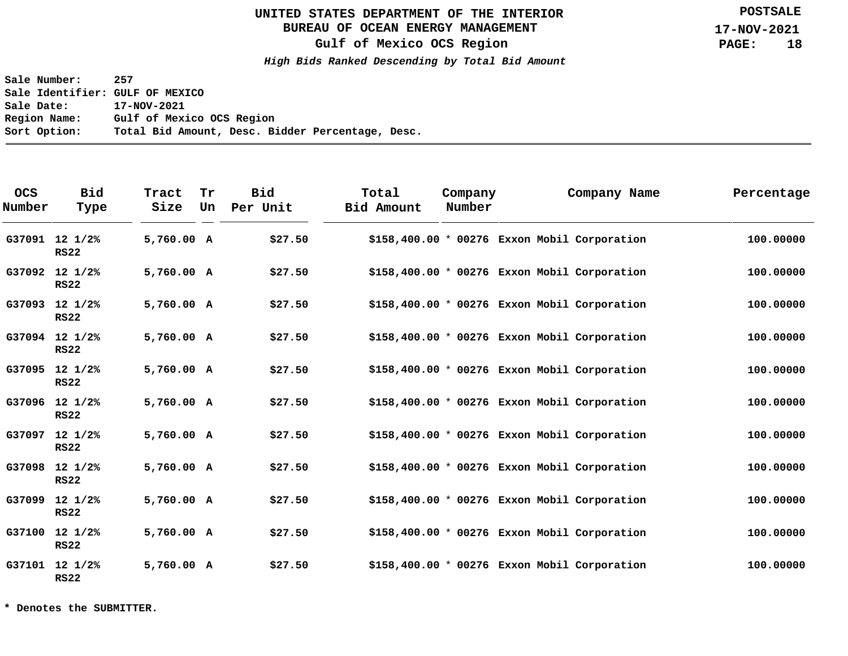# **BUREAU OF OCEAN ENERGY MANAGEMENT**

**Gulf of Mexico OCS Region**

**High Bids Ranked Descending by Total Bid Amount**

**Sale Number: 257 Sale Identifier: GULF OF MEXICO Sale Date: 17-NOV-2021 Region Name: Gulf of Mexico OCS Region Sort Option: Total Bid Amount, Desc. Bidder Percentage, Desc.**

| <b>OCS</b><br>Number | <b>Bid</b><br>Type              | Tract<br>Size | Tr<br>Un | <b>Bid</b><br>Per Unit | Total<br>Bid Amount | Company<br>Number | Company Name                                  | Percentage |
|----------------------|---------------------------------|---------------|----------|------------------------|---------------------|-------------------|-----------------------------------------------|------------|
|                      | G37091 12 1/2%<br><b>RS22</b>   | 5,760.00 A    |          | \$27.50                |                     |                   | \$158,400.00 * 00276 Exxon Mobil Corporation  | 100.00000  |
|                      | G37092 12 1/2%<br><b>RS22</b>   | 5,760.00 A    |          | \$27.50                |                     |                   | $$158,400.00 * 00276$ Exxon Mobil Corporation | 100.00000  |
|                      | G37093 12 1/2%<br><b>RS22</b>   | 5,760.00 A    |          | \$27.50                |                     |                   | $$158,400.00 * 00276$ Exxon Mobil Corporation | 100.00000  |
|                      | G37094 12 1/2%<br><b>RS22</b>   | 5,760.00 A    |          | \$27.50                |                     |                   | $$158,400.00 * 00276$ Exxon Mobil Corporation | 100.00000  |
|                      | G37095 12 1/2%<br><b>RS22</b>   | 5,760.00 A    |          | \$27.50                |                     |                   | $$158,400.00 * 00276$ Exxon Mobil Corporation | 100.00000  |
|                      | G37096 12 1/2%<br><b>RS22</b>   | 5,760.00 A    |          | \$27.50                |                     |                   | $$158,400.00 * 00276$ Exxon Mobil Corporation | 100.00000  |
| G37097               | $12 \frac{1}{2}$<br><b>RS22</b> | 5,760.00 A    |          | \$27.50                |                     |                   | $$158,400.00 * 00276$ Exxon Mobil Corporation | 100.00000  |
|                      | G37098 12 1/2%<br><b>RS22</b>   | 5,760.00 A    |          | \$27.50                |                     |                   | \$158,400.00 * 00276 Exxon Mobil Corporation  | 100.00000  |
| G37099               | $12 \frac{1}{2}$<br><b>RS22</b> | 5,760.00 A    |          | \$27.50                |                     |                   | $$158,400.00 * 00276$ Exxon Mobil Corporation | 100.00000  |
|                      | G37100 12 1/2%<br><b>RS22</b>   | 5,760.00 A    |          | \$27.50                |                     |                   | $$158,400.00 * 00276$ Exxon Mobil Corporation | 100.00000  |
|                      | G37101 12 1/2%<br><b>RS22</b>   | 5,760.00 A    |          | \$27.50                |                     |                   | $$158,400.00 * 00276$ Exxon Mobil Corporation | 100.00000  |

**\* Denotes the SUBMITTER.**

**POSTSALE**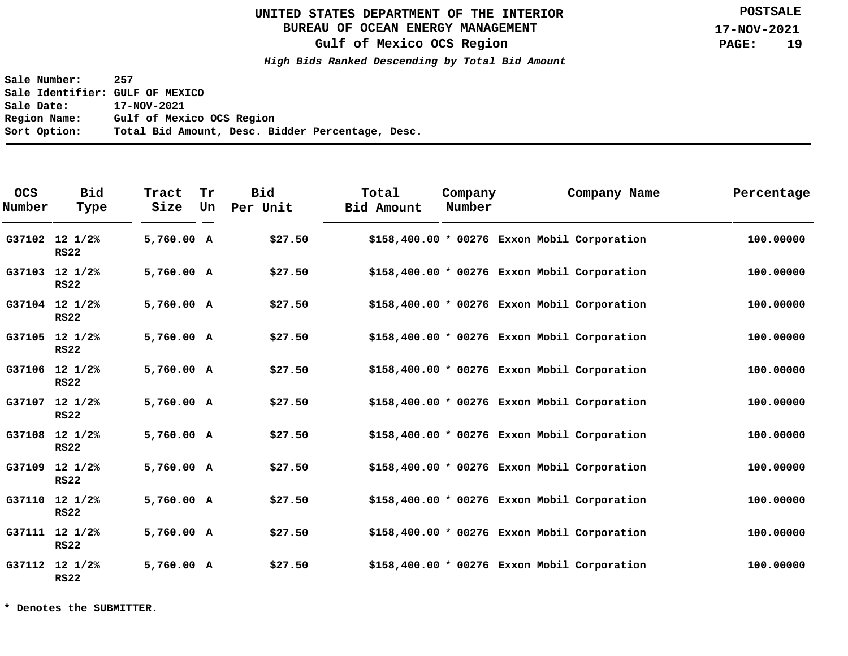# **BUREAU OF OCEAN ENERGY MANAGEMENT**

**Gulf of Mexico OCS Region**

**High Bids Ranked Descending by Total Bid Amount**

**Sale Number: 257 Sale Identifier: GULF OF MEXICO Sale Date: 17-NOV-2021 Region Name: Gulf of Mexico OCS Region Sort Option: Total Bid Amount, Desc. Bidder Percentage, Desc.**

| <b>OCS</b><br>Number | <b>Bid</b><br>Type              | Tract<br>Size | Tr<br>Un | <b>Bid</b><br>Per Unit | Total<br>Bid Amount                           | Company<br>Number | Company Name | Percentage |
|----------------------|---------------------------------|---------------|----------|------------------------|-----------------------------------------------|-------------------|--------------|------------|
|                      | G37102 12 1/2%<br><b>RS22</b>   | 5,760.00 A    |          | \$27.50                | \$158,400.00 * 00276 Exxon Mobil Corporation  |                   |              | 100.00000  |
|                      | G37103 12 1/2%<br><b>RS22</b>   | 5,760.00 A    |          | \$27.50                | $$158,400.00 * 00276$ Exxon Mobil Corporation |                   |              | 100.00000  |
|                      | G37104 12 1/2%<br><b>RS22</b>   | 5,760.00 A    |          | \$27.50                | $$158,400.00 * 00276$ Exxon Mobil Corporation |                   |              | 100.00000  |
|                      | G37105 12 1/2%<br><b>RS22</b>   | 5,760.00 A    |          | \$27.50                | $$158,400.00 * 00276$ Exxon Mobil Corporation |                   |              | 100,00000  |
|                      | G37106 12 1/2%<br><b>RS22</b>   | 5,760.00 A    |          | \$27.50                | $$158,400.00 * 00276$ Exxon Mobil Corporation |                   |              | 100.00000  |
|                      | G37107 12 1/2%<br><b>RS22</b>   | 5,760.00 A    |          | \$27.50                | $$158,400.00 * 00276$ Exxon Mobil Corporation |                   |              | 100.00000  |
|                      | G37108 12 1/2%<br><b>RS22</b>   | 5,760.00 A    |          | \$27.50                | $$158,400.00 * 00276$ Exxon Mobil Corporation |                   |              | 100.00000  |
| G37109               | $12 \frac{1}{2}$<br><b>RS22</b> | 5,760.00 A    |          | \$27.50                | \$158,400.00 * 00276 Exxon Mobil Corporation  |                   |              | 100.00000  |
|                      | G37110 12 1/2%<br><b>RS22</b>   | 5,760.00 A    |          | \$27.50                | $$158,400.00 * 00276$ Exxon Mobil Corporation |                   |              | 100.00000  |
|                      | G37111 12 1/2%<br><b>RS22</b>   | 5,760.00 A    |          | \$27.50                | \$158,400.00 * 00276 Exxon Mobil Corporation  |                   |              | 100.00000  |
|                      | G37112 12 1/2%<br><b>RS22</b>   | 5,760.00 A    |          | \$27.50                | $$158,400.00 * 00276$ Exxon Mobil Corporation |                   |              | 100.00000  |

**\* Denotes the SUBMITTER.**

**POSTSALE**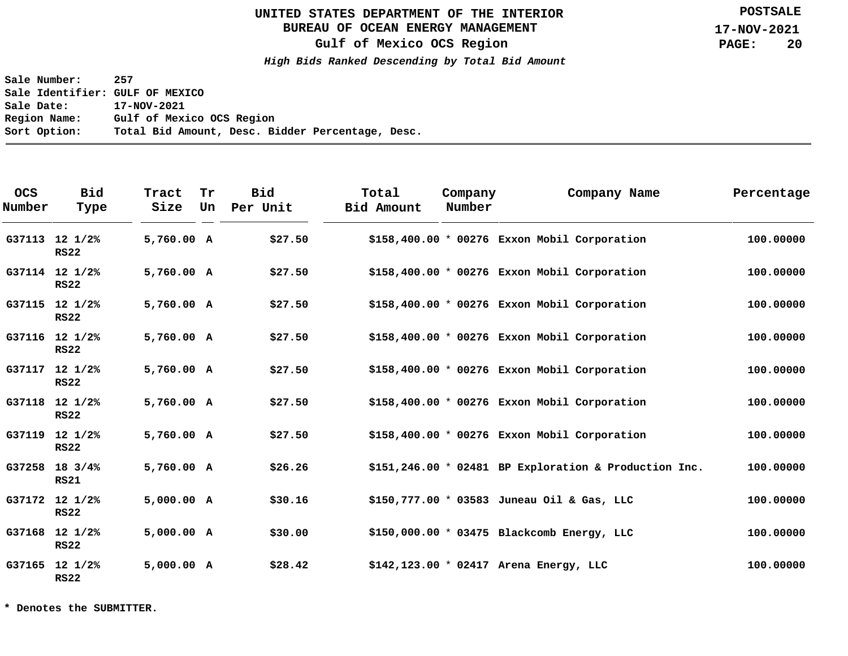# **BUREAU OF OCEAN ENERGY MANAGEMENT**

**Gulf of Mexico OCS Region**

**High Bids Ranked Descending by Total Bid Amount**

**Sale Number: 257 Sale Identifier: GULF OF MEXICO Sale Date: 17-NOV-2021 Region Name: Gulf of Mexico OCS Region Sort Option: Total Bid Amount, Desc. Bidder Percentage, Desc.**

| <b>OCS</b><br>Number | <b>Bid</b><br>Type            | Tract<br>Size | Tr<br>Un | <b>Bid</b><br>Per Unit | Total<br>Bid Amount | Company<br>Number |                                                        | Company Name | Percentage |
|----------------------|-------------------------------|---------------|----------|------------------------|---------------------|-------------------|--------------------------------------------------------|--------------|------------|
|                      | G37113 12 1/2%<br><b>RS22</b> | 5,760.00 A    |          | \$27.50                |                     |                   | \$158,400.00 * 00276 Exxon Mobil Corporation           |              | 100.00000  |
|                      | G37114 12 1/2%<br><b>RS22</b> | 5,760.00 A    |          | \$27.50                |                     |                   | $$158,400.00 * 00276$ Exxon Mobil Corporation          |              | 100.00000  |
|                      | G37115 12 1/2%<br><b>RS22</b> | 5,760.00 A    |          | \$27.50                |                     |                   | $$158,400.00 * 00276$ Exxon Mobil Corporation          |              | 100.00000  |
|                      | G37116 12 1/2%<br><b>RS22</b> | 5,760.00 A    |          | \$27.50                |                     |                   | \$158,400.00 * 00276 Exxon Mobil Corporation           |              | 100.00000  |
|                      | G37117 12 1/2%<br><b>RS22</b> | 5,760.00 A    |          | \$27.50                |                     |                   | \$158,400.00 * 00276 Exxon Mobil Corporation           |              | 100.00000  |
|                      | G37118 12 1/2%<br><b>RS22</b> | 5,760.00 A    |          | \$27.50                |                     |                   | $$158,400.00 * 00276$ Exxon Mobil Corporation          |              | 100.00000  |
|                      | G37119 12 1/2%<br><b>RS22</b> | 5,760.00 A    |          | \$27.50                |                     |                   | $$158,400.00 * 00276$ Exxon Mobil Corporation          |              | 100.00000  |
|                      | G37258 18 3/4%<br><b>RS21</b> | 5,760.00 A    |          | \$26.26                |                     |                   | $$151,246.00 * 02481$ BP Exploration & Production Inc. |              | 100.00000  |
|                      | G37172 12 1/2%<br><b>RS22</b> | 5,000.00 A    |          | \$30.16                |                     |                   | \$150,777.00 * 03583 Juneau Oil & Gas, LLC             |              | 100.00000  |
|                      | G37168 12 1/2%<br><b>RS22</b> | 5,000.00 A    |          | \$30.00                |                     |                   | $$150,000.00 * 03475$ Blackcomb Energy, LLC            |              | 100.00000  |
|                      | G37165 12 1/2%<br><b>RS22</b> | 5,000.00 A    |          | \$28.42                |                     |                   | $$142,123.00 * 02417$ Arena Energy, LLC                |              | 100.00000  |

**\* Denotes the SUBMITTER.**

**POSTSALE**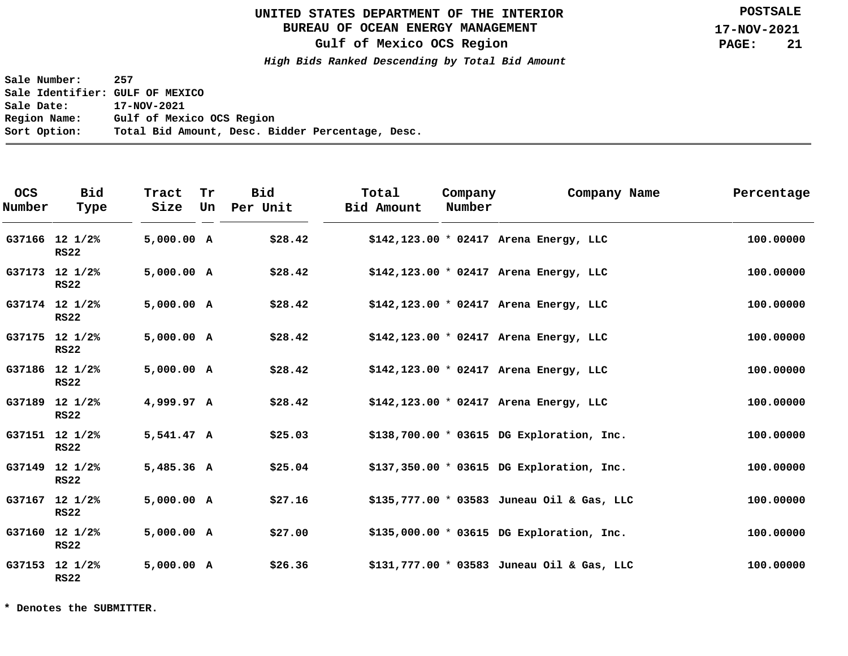# **BUREAU OF OCEAN ENERGY MANAGEMENT**

**Gulf of Mexico OCS Region**

**High Bids Ranked Descending by Total Bid Amount**

**Sale Number: 257 Sale Identifier: GULF OF MEXICO Sale Date: 17-NOV-2021 Region Name: Gulf of Mexico OCS Region Sort Option: Total Bid Amount, Desc. Bidder Percentage, Desc.**

| <b>OCS</b><br>Number | <b>Bid</b><br>Type            | Tract<br>Size | Tr<br>Un | <b>Bid</b><br>Per Unit | Total<br><b>Bid Amount</b> | Company<br>Number | Company Name                               | Percentage |
|----------------------|-------------------------------|---------------|----------|------------------------|----------------------------|-------------------|--------------------------------------------|------------|
|                      | G37166 12 1/2%<br><b>RS22</b> | 5,000.00 A    |          | \$28.42                |                            |                   | $$142,123.00 * 02417$ Arena Energy, LLC    | 100.00000  |
|                      | G37173 12 1/2%<br><b>RS22</b> | 5,000.00 A    |          | \$28.42                |                            |                   | $$142,123.00 * 02417$ Arena Energy, LLC    | 100.00000  |
|                      | G37174 12 1/2%<br><b>RS22</b> | 5,000.00 A    |          | \$28.42                |                            |                   | $$142,123.00 * 02417$ Arena Energy, LLC    | 100.00000  |
|                      | G37175 12 1/2%<br><b>RS22</b> | 5,000.00 A    |          | \$28.42                |                            |                   | $$142,123.00 * 02417$ Arena Energy, LLC    | 100.00000  |
|                      | G37186 12 1/2%<br><b>RS22</b> | 5,000.00 A    |          | \$28.42                |                            |                   | $$142,123.00 * 02417$ Arena Energy, LLC    | 100.00000  |
|                      | G37189 12 1/2%<br><b>RS22</b> | 4,999.97 A    |          | \$28.42                |                            |                   | $$142,123.00 * 02417$ Arena Energy, LLC    | 100.00000  |
|                      | G37151 12 1/2%<br><b>RS22</b> | 5,541.47 A    |          | \$25.03                |                            |                   | \$138,700.00 * 03615 DG Exploration, Inc.  | 100.00000  |
|                      | G37149 12 1/2%<br><b>RS22</b> | 5,485.36 A    |          | \$25.04                |                            |                   | \$137,350.00 * 03615 DG Exploration, Inc.  | 100.00000  |
|                      | G37167 12 1/2%<br><b>RS22</b> | 5,000.00 A    |          | \$27.16                |                            |                   | \$135,777.00 * 03583 Juneau Oil & Gas, LLC | 100.00000  |
|                      | G37160 12 1/2%<br><b>RS22</b> | 5,000.00 A    |          | \$27.00                |                            |                   | $$135,000.00 * 03615$ DG Exploration, Inc. | 100.00000  |
|                      | G37153 12 1/2%<br><b>RS22</b> | 5,000.00 A    |          | \$26.36                |                            |                   | \$131,777.00 * 03583 Juneau Oil & Gas, LLC | 100.00000  |

**\* Denotes the SUBMITTER.**

**POSTSALE**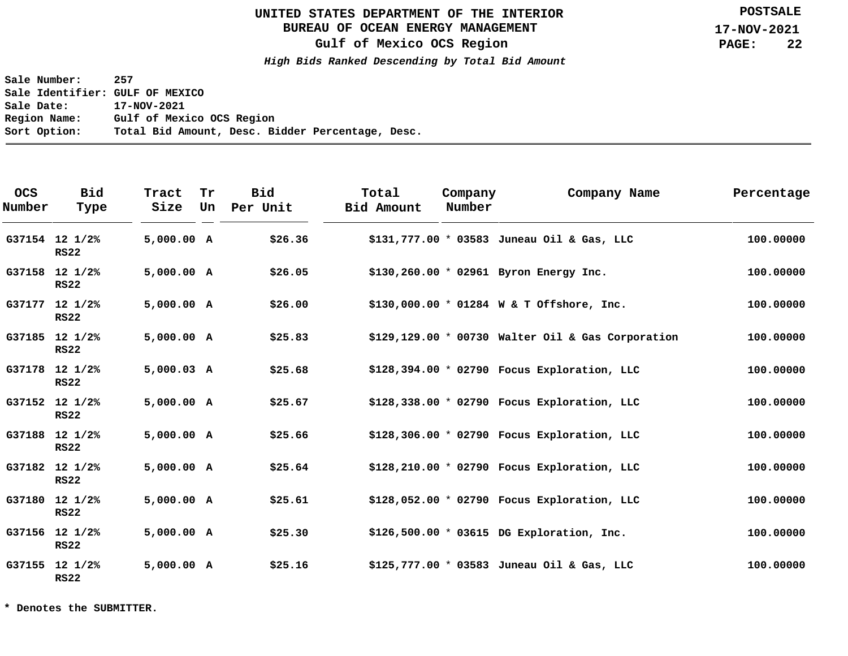# **BUREAU OF OCEAN ENERGY MANAGEMENT**

**Gulf of Mexico OCS Region**

**High Bids Ranked Descending by Total Bid Amount**

**Sale Number: 257 Sale Identifier: GULF OF MEXICO Sale Date: 17-NOV-2021 Region Name: Gulf of Mexico OCS Region Sort Option: Total Bid Amount, Desc. Bidder Percentage, Desc.**

| <b>OCS</b><br>Number | <b>Bid</b><br>Type            | Tract<br>Size | Tr<br>Un | <b>Bid</b><br>Per Unit | Total<br>Bid Amount | Company<br>Number | Company Name                                       | Percentage |
|----------------------|-------------------------------|---------------|----------|------------------------|---------------------|-------------------|----------------------------------------------------|------------|
|                      | G37154 12 1/2%<br><b>RS22</b> | 5,000.00 A    |          | \$26.36                |                     |                   | \$131,777.00 * 03583 Juneau Oil & Gas, LLC         | 100.00000  |
|                      | G37158 12 1/2%<br><b>RS22</b> | 5,000.00 A    |          | \$26.05                |                     |                   | $$130, 260.00 * 02961$ Byron Energy Inc.           | 100.00000  |
|                      | G37177 12 1/2%<br><b>RS22</b> | 5,000.00 A    |          | \$26.00                |                     |                   | \$130,000.00 * 01284 W & T Offshore, Inc.          | 100.00000  |
|                      | G37185 12 1/2%<br><b>RS22</b> | 5,000.00 A    |          | \$25.83                |                     |                   | $$129,129.00 * 00730$ Walter Oil & Gas Corporation | 100.00000  |
|                      | G37178 12 1/2%<br><b>RS22</b> | $5,000.03$ A  |          | \$25.68                |                     |                   | \$128,394.00 * 02790 Focus Exploration, LLC        | 100.00000  |
|                      | G37152 12 1/2%<br><b>RS22</b> | 5,000.00 A    |          | \$25.67                |                     |                   | \$128,338.00 * 02790 Focus Exploration, LLC        | 100.00000  |
|                      | G37188 12 1/2%<br><b>RS22</b> | 5,000.00 A    |          | \$25.66                |                     |                   | $$128,306.00 * 02790$ Focus Exploration, LLC       | 100.00000  |
|                      | G37182 12 1/2%<br><b>RS22</b> | 5,000.00 A    |          | \$25.64                |                     |                   | $$128, 210.00 * 02790$ Focus Exploration, LLC      | 100.00000  |
|                      | G37180 12 1/2%<br><b>RS22</b> | 5,000.00 A    |          | \$25.61                |                     |                   | \$128,052.00 * 02790 Focus Exploration, LLC        | 100.00000  |
|                      | G37156 12 1/2%<br><b>RS22</b> | 5,000.00 A    |          | \$25.30                |                     |                   | $$126,500.00 * 03615$ DG Exploration, Inc.         | 100.00000  |
|                      | G37155 12 1/2%<br><b>RS22</b> | 5,000.00 A    |          | \$25.16                |                     |                   | \$125,777.00 * 03583 Juneau Oil & Gas, LLC         | 100.00000  |

**\* Denotes the SUBMITTER.**

**POSTSALE**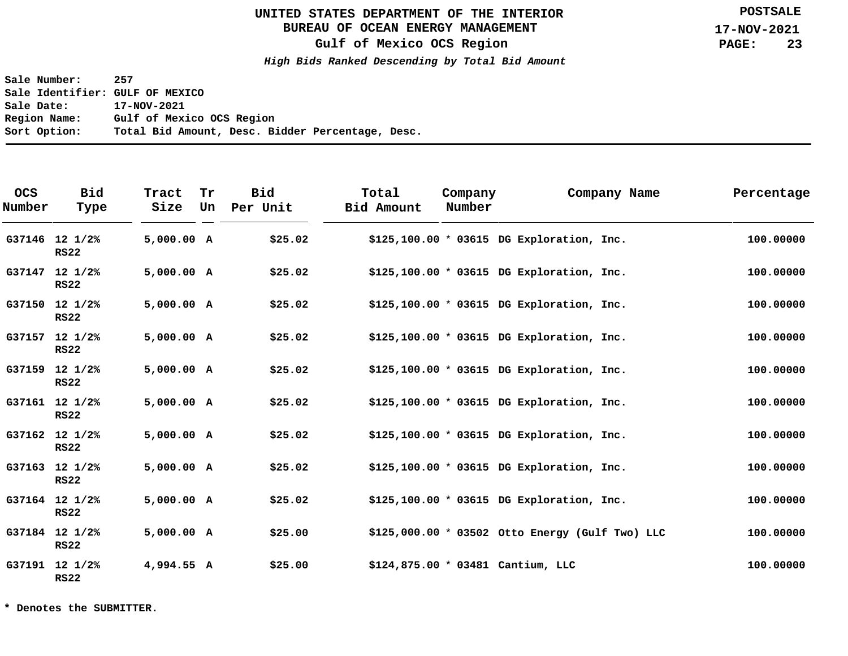# **BUREAU OF OCEAN ENERGY MANAGEMENT**

**Gulf of Mexico OCS Region**

**High Bids Ranked Descending by Total Bid Amount**

**Sale Number: 257 Sale Identifier: GULF OF MEXICO Sale Date: 17-NOV-2021 Region Name: Gulf of Mexico OCS Region Sort Option: Total Bid Amount, Desc. Bidder Percentage, Desc.**

| <b>OCS</b><br>Number | <b>Bid</b><br>Type            | Tract<br>Size | Tr<br>Un | <b>Bid</b><br>Per Unit | Total<br>Bid Amount | Company<br>Number | Company Name                                    | Percentage |
|----------------------|-------------------------------|---------------|----------|------------------------|---------------------|-------------------|-------------------------------------------------|------------|
|                      | G37146 12 1/2%<br><b>RS22</b> | 5,000.00 A    |          | \$25.02                |                     |                   | $$125,100.00 * 03615$ DG Exploration, Inc.      | 100.00000  |
|                      | G37147 12 1/2%<br><b>RS22</b> | 5,000.00 A    |          | \$25.02                |                     |                   | \$125,100.00 * 03615 DG Exploration, Inc.       | 100.00000  |
|                      | G37150 12 1/2%<br><b>RS22</b> | 5,000.00 A    |          | \$25.02                |                     |                   | \$125,100.00 * 03615 DG Exploration, Inc.       | 100.00000  |
|                      | G37157 12 1/2%<br><b>RS22</b> | 5,000.00 A    |          | \$25.02                |                     |                   | $$125,100.00 * 03615$ DG Exploration, Inc.      | 100.00000  |
|                      | G37159 12 1/2%<br><b>RS22</b> | 5,000.00 A    |          | \$25.02                |                     |                   | $$125,100.00 * 03615$ DG Exploration, Inc.      | 100.00000  |
|                      | G37161 12 1/2%<br><b>RS22</b> | 5,000.00 A    |          | \$25.02                |                     |                   | $$125,100.00 * 03615$ DG Exploration, Inc.      | 100.00000  |
|                      | G37162 12 1/2%<br><b>RS22</b> | 5,000.00 A    |          | \$25.02                |                     |                   | $$125,100.00 * 03615$ DG Exploration, Inc.      | 100.00000  |
|                      | G37163 12 1/2%<br><b>RS22</b> | 5,000.00 A    |          | \$25.02                |                     |                   | $$125,100.00 * 03615$ DG Exploration, Inc.      | 100.00000  |
|                      | G37164 12 1/2%<br><b>RS22</b> | 5,000.00 A    |          | \$25.02                |                     |                   | \$125,100.00 * 03615 DG Exploration, Inc.       | 100.00000  |
|                      | G37184 12 1/2%<br><b>RS22</b> | 5,000.00 A    |          | \$25.00                |                     |                   | \$125,000.00 * 03502 Otto Energy (Gulf Two) LLC | 100.00000  |
|                      | G37191 12 1/2%<br><b>RS22</b> | 4,994.55 A    |          | \$25.00                |                     |                   | \$124,875.00 * 03481 Cantium, LLC               | 100.00000  |

**\* Denotes the SUBMITTER.**

**POSTSALE**